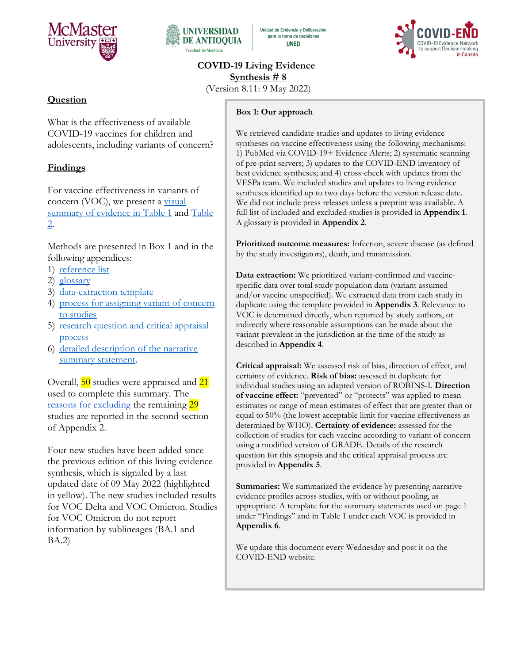



Unidad de Evidencia y Deliberación para la toma de decisiones **UNED** 



**COVID-19 Living Evidence Synthesis # 8**

(Version 8.11: 9 May 2022)

# **Question**

What is the effectiveness of available COVID-19 vaccines for children and adolescents, including variants of concern?

# **Findings**

For vaccine effectiveness in variants of concern (VOC), we present a visual summary of evidence in Table 1 and Table 2.

Methods are presented in Box 1 and in the following appendices:

- 1) [reference list](#page-14-0)
- 2) [glossary](#page-28-0)
- 3) [data-extraction template](#page-29-0)
- 4) [process for assigning variant of concern](#page-29-1)  [to studies](#page-29-1)
- 5) research question and critical appraisal [process](#page-31-0)
- 6) detailed description of the narrative summary statement.

Overall, 50 studies were appraised and 21 used to complete this summary. The [reasons for excluding](#page-26-0) the remaining 29 studies are reported in the second section of Appendix 2.

Four new studies have been added since the previous edition of this living evidence synthesis, which is signaled by a last updated date of 09 May 2022 (highlighted in yellow). The new studies included results for VOC Delta and VOC Omicron. Studies for VOC Omicron do not report information by sublineages (BA.1 and BA.2)

#### **Box 1: Our approach**

We retrieved candidate studies and updates to living evidence syntheses on vaccine effectiveness using the following mechanisms: 1) PubMed via COVID-19+ Evidence Alerts; 2) systematic scanning of pre-print servers; 3) updates to the COVID-END inventory of best evidence syntheses; and 4) cross-check with updates from the VESPa team. We included studies and updates to living evidence syntheses identified up to two days before the version release date. We did not include press releases unless a preprint was available. A full list of included and excluded studies is provided in **Appendix 1**. A glossary is provided in **Appendix 2**.

**Prioritized outcome measures:** Infection, severe disease (as defined by the study investigators), death, and transmission.

**Data extraction:** We prioritized variant-confirmed and vaccinespecific data over total study population data (variant assumed and/or vaccine unspecified). We extracted data from each study in duplicate using the template provided in **Appendix 3**. Relevance to VOC is determined directly, when reported by study authors, or indirectly where reasonable assumptions can be made about the variant prevalent in the jurisdiction at the time of the study as described in **Appendix 4**.

**Critical appraisal:** We assessed risk of bias, direction of effect, and certainty of evidence. **Risk of bias:** assessed in duplicate for individual studies using an adapted version of ROBINS-I. **Direction of vaccine effect:** "prevented" or "protects" was applied to mean estimates or range of mean estimates of effect that are greater than or equal to 50% (the lowest acceptable limit for vaccine effectiveness as determined by WHO). **Certainty of evidence:** assessed for the collection of studies for each vaccine according to variant of concern using a modified version of GRADE. Details of the research question for this synopsis and the critical appraisal process are provided in **Appendix 5**.

**Summaries:** We summarized the evidence by presenting narrative evidence profiles across studies, with or without pooling, as appropriate. A template for the summary statements used on page 1 under "Findings" and in Table 1 under each VOC is provided in **Appendix 6**.

We update this document every Wednesday and post it on the COVID-END website.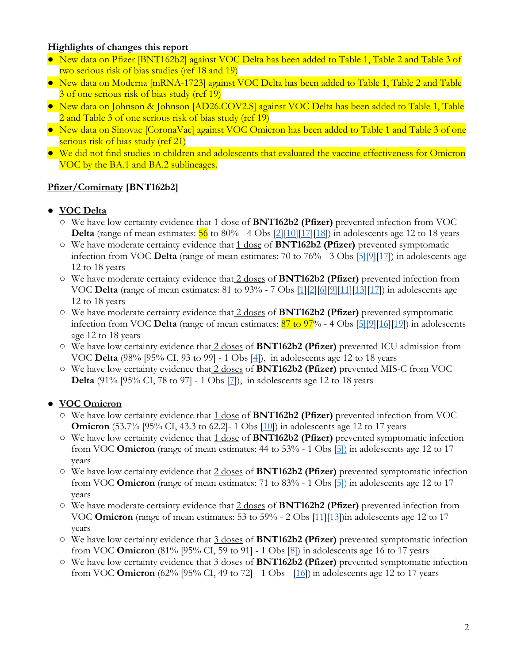### **Highlights of changes this report**

- New data on Pfizer [BNT162b2] against VOC Delta has been added to Table 1, Table 2 and Table 3 of two serious risk of bias studies (ref 18 and 19)
- New data on Moderna [mRNA-1723] against VOC Delta has been added to Table 1, Table 2 and Table 3 of one serious risk of bias study (ref 19)
- New data on Johnson & Johnson [AD26.COV2.S] against VOC Delta has been added to Table 1, Table 2 and Table 3 of one serious risk of bias study (ref 19)
- New data on Sinovac [CoronaVac] against VOC Omicron has been added to Table 1 and Table 3 of one serious risk of bias study (ref 21)
- We did not find studies in children and adolescents that evaluated the vaccine effectiveness for Omicron VOC by the BA.1 and BA.2 sublineages.

## **Pfizer/Comirnaty [BNT162b2]**

## ● **VOC Delta**

- We have low certainty evidence that 1 dose of **BNT162b2 (Pfizer)** prevented infection from VOC **Delta** (range of mean estimates:  $\frac{56}{6}$  to 80% - 4 Obs  $\frac{2}{10}\left[\frac{10}{17}\right]\left[\frac{18}{6}\right]$  in adolescents age 12 to 18 years
- We have moderate certainty evidence that 1 dose of **BNT162b2 (Pfizer)** prevented symptomatic infection from VOC **Delta** (range of mean estimates: 70 to 76% - 3 Obs [\[5\]\[](https://doi.org/10.1016/S1473-3099(22)00177-3)[9\]](https://jamanetwork.com/journals/jamanetworkopen/fullarticle/2789579)[\[17\]](https://doi.org/10.1136/bmj-2021-068898)) in adolescents age 12 to 18 years
- We have moderate certainty evidence that 2 doses of **BNT162b2 (Pfizer)** prevented infection from VOC **Delta** (range of mean estimates: 81 to 93% - 7 Obs [\[1\]](https://pubmed.ncbi.nlm.nih.gov/34570694/)[\[2\]](https://www.nejm.org/doi/full/10.1056/NEJMc2114290)[\[6\]](https://pubmed.ncbi.nlm.nih.gov/34968373/)[\[9\]](https://jamanetwork.com/journals/jamanetworkopen/fullarticle/2789579)[\[11\]](https://www.cdc.gov/mmwr/volumes/71/wr/mm7111e1.htm?s_cid=mm7111e1_w)[\[13\]](https://doi.org/10.1101/2022.03.24.22272854)[\[17\]](https://doi.org/10.1136/bmj-2021-068898)) in adolescents age 12 to 18 years
- We have moderate certainty evidence that 2 doses of **BNT162b2 (Pfizer)** prevented symptomatic infection from VOC **Delta** (range of mean estimates: 87 to 97% - 4 Obs [\[5\]\[](https://doi.org/10.1016/S1473-3099(22)00177-3)[9\]](https://jamanetwork.com/journals/jamanetworkopen/fullarticle/2789579)[\[16\]](https://doi.org/10.1101/2022.04.07.22273319)[\[19\]](https://jamanetwork.com/journals/jama/fullarticle/2789294)) in adolescents age 12 to 18 years
- We have low certainty evidence that 2 doses of **BNT162b2 (Pfizer)** prevented ICU admission from VOC **Delta** (98% [95% CI, 93 to 99] - 1 Obs [\[4\]](https://www.nejm.org/doi/full/10.1056/NEJMoa2117995)), in adolescents age 12 to 18 years
- We have low certainty evidence that 2 doses of **BNT162b2 (Pfizer)** prevented MIS-C from VOC **Delta** (91% [95% CI, 78 to 97] - 1 Obs [\[7\]](https://www.cdc.gov/mmwr/volumes/71/wr/mm7102e1.htm)), in adolescents age 12 to 18 years

# ● **VOC Omicron**

- We have low certainty evidence that 1 dose of **BNT162b2 (Pfizer)** prevented infection from VOC **Omicron** (53.7% [95% CI, 43.3 to 62.2] - 1 Obs [\[10\]](https://www.medrxiv.org/content/10.1101/2022.03.13.22272176v1)) in adolescents age 12 to 17 years
- We have low certainty evidence that 1 dose of **BNT162b2 (Pfizer)** prevented symptomatic infection from VOC **Omicron** (range of mean estimates: 44 to 53% - 1 Obs [\[5\]\)](https://doi.org/10.1016/S1473-3099(22)00177-3) in adolescents age 12 to 17 years
- We have low certainty evidence that 2 doses of **BNT162b2 (Pfizer)** prevented symptomatic infection from VOC **Omicron** (range of mean estimates: 71 to 83% - 1 Obs [\[5\]\)](https://doi.org/10.1016/S1473-3099(22)00177-3) in adolescents age 12 to 17 years
- We have moderate certainty evidence that 2 doses of **BNT162b2 (Pfizer)** prevented infection from VOC **Omicron** (range of mean estimates: 53 to 59% - 2 Obs [\[11\]](https://www.cdc.gov/mmwr/volumes/71/wr/mm7111e1.htm?s_cid=mm7111e1_w)[\[13\]](https://doi.org/10.1101/2022.03.24.22272854))in adolescents age 12 to 17 years
- We have low certainty evidence that 3 doses of **BNT162b2 (Pfizer)** prevented symptomatic infection from VOC **Omicron** (81% [95% CI, 59 to 91] - 1 Obs [\[8\]](https://www.cdc.gov/mmwr/volumes/71/wr/mm7109e3.htm?s_cid=mm7109e3_w)) in adolescents age 16 to 17 years
- We have low certainty evidence that 3 doses of **BNT162b2 (Pfizer)** prevented symptomatic infection from VOC **Omicron** (62% [95% CI, 49 to 72] - 1 Obs - [\[16\]](https://doi.org/10.1101/2022.04.07.22273319)) in adolescents age 12 to 17 years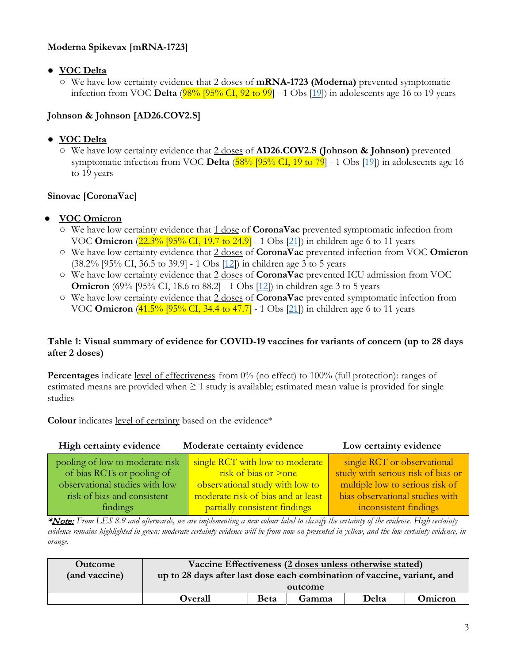# **Moderna Spikevax [mRNA-1723]**

- **VOC Delta**
	- We have low certainty evidence that 2 doses of **mRNA-1723 (Moderna)** prevented symptomatic infection from VOC **Delta** (98% [95% CI, 92 to 99] - 1 Obs [\[19\]](https://jamanetwork.com/journals/jama/fullarticle/2789294)) in adolescents age 16 to 19 years

# **Johnson & Johnson [AD26.COV2.S]**

## ● **VOC Delta**

○ We have low certainty evidence that 2 doses of **AD26.COV2.S (Johnson & Johnson)** prevented symptomatic infection from VOC **Delta** (58% [95% CI, 19 to 79] - 1 Obs [\[19\]](https://jamanetwork.com/journals/jama/fullarticle/2789294)) in adolescents age 16 to 19 years

# **Sinovac [CoronaVac]**

- **VOC Omicron**
	- We have low certainty evidence that 1 dose of **CoronaVac** prevented symptomatic infection from VOC **Omicron** (22.3% [95% CI, 19.7 to 24.9] - 1 Obs [\[21\]](https://doi.org/10.21203/rs.3.rs-1604882/v1)) in children age 6 to 11 years
	- We have low certainty evidence that 2 doses of **CoronaVac** prevented infection from VOC **Omicron** (38.2% [95% CI, 36.5 to 39.9] - 1 Obs [\[12\]](https://www.researchsquare.com/article/rs-1440357/latest.pdf)) in children age 3 to 5 years
	- We have low certainty evidence that 2 doses of **CoronaVac** prevented ICU admission from VOC **Omicron** (69% [95% CI, 18.6 to 88.2] - 1 Obs [\[12\]](https://www.researchsquare.com/article/rs-1440357/latest.pdf)) in children age 3 to 5 years
	- We have low certainty evidence that 2 doses of **CoronaVac** prevented symptomatic infection from VOC **Omicron** (41.5% [95% CI, 34.4 to 47.7] - 1 Obs [\[21\]](https://doi.org/10.21203/rs.3.rs-1604882/v1)) in children age 6 to 11 years

### **Table 1: Visual summary of evidence for COVID-19 vaccines for variants of concern (up to 28 days after 2 doses)**

**Percentages** indicate <u>level of effectiveness</u> from 0% (no effect) to 100% (full protection): ranges of estimated means are provided when  $\geq 1$  study is available; estimated mean value is provided for single studies

Colour indicates level of certainty based on the evidence\*

| High certainty evidence         | Moderate certainty evidence        | Low certainty evidence             |
|---------------------------------|------------------------------------|------------------------------------|
| pooling of low to moderate risk | single RCT with low to moderate    | single RCT or observational        |
| of bias RCTs or pooling of      | risk of bias or $\geq$ one         | study with serious risk of bias or |
| observational studies with low  | observational study with low to    | multiple low to serious risk of    |
| risk of bias and consistent     | moderate risk of bias and at least | bias observational studies with    |
| findings                        | partially consistent findings      | inconsistent findings              |

\*Note: *From LES 8.9 and afterwards, we are implementing a new colour label to classify the certainty of the evidence. High certainty evidence remains highlighted in green; moderate certainty evidence will be from now on presented in yellow, and the low certainty evidence, in orange.*

| <b>Outcome</b> | Vaccine Effectiveness (2 doses unless otherwise stated)                 |             |       |       |         |
|----------------|-------------------------------------------------------------------------|-------------|-------|-------|---------|
| (and vaccine)  | up to 28 days after last dose each combination of vaccine, variant, and |             |       |       |         |
|                | outcome                                                                 |             |       |       |         |
|                | <b>Overall</b>                                                          | <b>Beta</b> | Gamma | Delta | Omicron |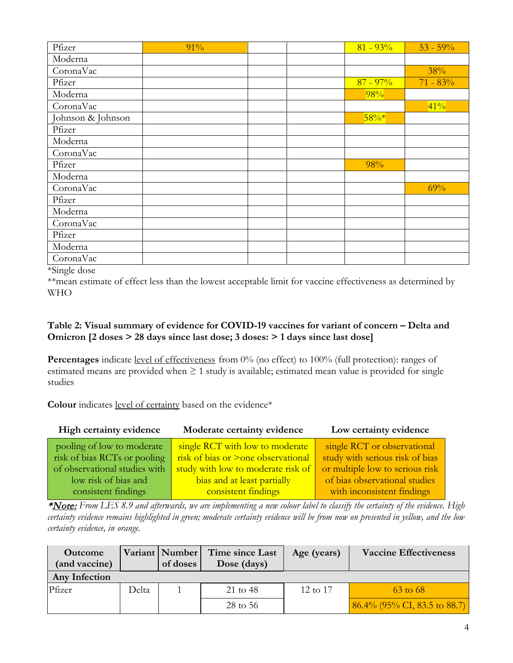| Pfizer            | 91% |  | $81 - 93%$ | $53 - 59\%$ |
|-------------------|-----|--|------------|-------------|
| Moderna           |     |  |            |             |
| CoronaVac         |     |  |            | 38%         |
| Pfizer            |     |  | $87 - 97%$ | $71 - 83%$  |
| Moderna           |     |  | 98%        |             |
| CoronaVac         |     |  |            | 41%         |
| Johnson & Johnson |     |  | $58\%*$    |             |
| Pfizer            |     |  |            |             |
| Moderna           |     |  |            |             |
| CoronaVac         |     |  |            |             |
| Pfizer            |     |  | 98%        |             |
| Moderna           |     |  |            |             |
| CoronaVac         |     |  |            | 69%         |
| Pfizer            |     |  |            |             |
| Moderna           |     |  |            |             |
| CoronaVac         |     |  |            |             |
| Pfizer            |     |  |            |             |
| Moderna           |     |  |            |             |
| CoronaVac         |     |  |            |             |

\*Single dose

\*\*mean estimate of effect less than the lowest acceptable limit for vaccine effectiveness as determined by WHO

### **Table 2: Visual summary of evidence for COVID-19 vaccines for variant of concern – Delta and Omicron [2 doses > 28 days since last dose; 3 doses: > 1 days since last dose]**

**Percentages** indicate level of effectiveness from 0% (no effect) to 100% (full protection): ranges of estimated means are provided when  $\geq 1$  study is available; estimated mean value is provided for single studies

**Colour** indicates level of certainty based on the evidence\*

| High certainty evidence       | Moderate certainty evidence        | Low certainty evidence          |
|-------------------------------|------------------------------------|---------------------------------|
| pooling of low to moderate    | single RCT with low to moderate    | single RCT or observational     |
| risk of bias RCTs or pooling  | risk of bias or >one observational | study with serious risk of bias |
| of observational studies with | study with low to moderate risk of | or multiple low to serious risk |
| low risk of bias and          | bias and at least partially        | of bias observational studies   |
| consistent findings           | consistent findings                | with inconsistent findings      |

\*Note: *From LES 8.9 and afterwards, we are implementing a new colour label to classify the certainty of the evidence. High certainty evidence remains highlighted in green; moderate certainty evidence will be from now on presented in yellow, and the low certainty evidence, in orange.*

| <b>Outcome</b><br>(and vaccine) |       | Variant   Number  <br>of doses | Time since Last<br>Dose (days) | Age (years)         | <b>Vaccine Effectiveness</b>    |
|---------------------------------|-------|--------------------------------|--------------------------------|---------------------|---------------------------------|
| <b>Any Infection</b>            |       |                                |                                |                     |                                 |
| Pfizer                          | Delta |                                | 21 to 48                       | $12 \text{ to } 17$ | $63 \text{ to } 68$             |
|                                 |       |                                | 28 to 56                       |                     | $86.4\%$ (95% CI, 83.5 to 88.7) |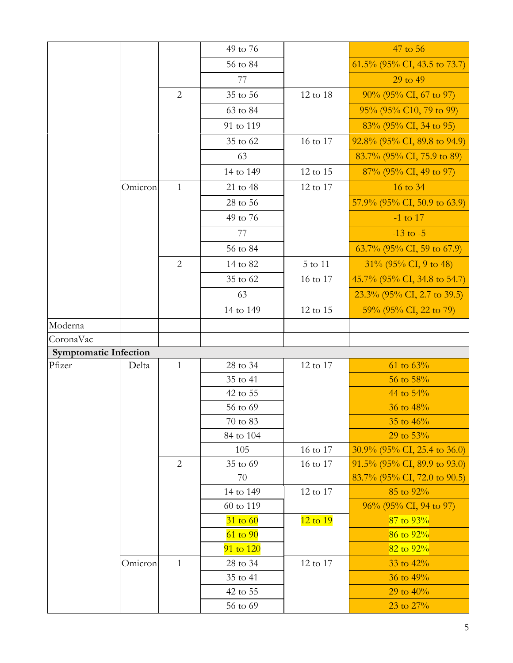|                              |         |                | 49 to 76             |              | 47 to 56                        |
|------------------------------|---------|----------------|----------------------|--------------|---------------------------------|
|                              |         |                | 56 to 84             |              | 61.5% (95% CI, 43.5 to 73.7)    |
|                              |         |                | 77                   |              | 29 to 49                        |
|                              |         | $\overline{2}$ | 35 to 56             | 12 to 18     | $90\%$ (95% CI, 67 to 97)       |
|                              |         |                | 63 to 84             |              | 95% (95% C10, 79 to 99)         |
|                              |         |                | 91 to 119            |              | 83% (95% CI, 34 to 95)          |
|                              |         |                | 35 to 62             | 16 to 17     | 92.8% (95% CI, 89.8 to 94.9)    |
|                              |         |                | 63                   |              | 83.7% (95% CI, 75.9 to 89)      |
|                              |         |                | 14 to 149            | 12 to 15     | 87% (95% CI, 49 to 97)          |
|                              | Omicron | $\mathbf{1}$   | 21 to 48             | 12 to 17     | 16 to 34                        |
|                              |         |                | 28 to 56             |              | 57.9% (95% CI, 50.9 to 63.9)    |
|                              |         |                | 49 to 76             |              | $-1$ to 17                      |
|                              |         |                | 77                   |              | $-13$ to $-5$                   |
|                              |         |                | 56 to 84             |              | 63.7% (95% CI, 59 to 67.9)      |
|                              |         | $\overline{2}$ | 14 to 82             | 5 to 11      | $31\%$ (95% CI, 9 to 48)        |
|                              |         |                | 35 to 62             | 16 to 17     | 45.7% (95% CI, 34.8 to 54.7)    |
|                              |         |                | 63                   |              | $23.3\%$ (95% CI, 2.7 to 39.5)  |
|                              |         |                | 14 to 149            | 12 to 15     | 59% (95% CI, 22 to 79)          |
| Moderna                      |         |                |                      |              |                                 |
| CoronaVac                    |         |                |                      |              |                                 |
| <b>Symptomatic Infection</b> |         |                |                      |              |                                 |
| Pfizer                       | Delta   | $\mathbf{1}$   | 28 to 34             | 12 to 17     | 61 to $63%$                     |
|                              |         |                | 35 to 41             |              | 56 to 58%                       |
|                              |         |                | 42 to 55             |              | 44 to 54%                       |
|                              |         |                | 56 to 69             |              | 36 to 48%                       |
|                              |         |                | 70 to 83             |              | 35 to 46%                       |
|                              |         |                | 84 to 104            |              | 29 to 53%                       |
|                              |         |                | 105                  | 16 to 17     | $30.9\%$ (95% CI, 25.4 to 36.0) |
|                              |         |                |                      |              |                                 |
|                              |         | $\overline{2}$ | 35 to 69             | 16 to 17     | $91.5\%$ (95% CI, 89.9 to 93.0) |
|                              |         |                | 70                   |              | $83.7\%$ (95% CI, 72.0 to 90.5) |
|                              |         |                | 14 to 149            | 12 to 17     | 85 to 92%                       |
|                              |         |                | 60 to 119            |              | 96% (95% CI, 94 to 97)          |
|                              |         |                | $31$ to 60           | $12$ to $19$ | $87$ to $93\%$                  |
|                              |         |                | $61$ to $90$         |              | $86$ to $92\%$                  |
|                              |         |                | 91 to 120            |              | 82 to $92\%$                    |
|                              | Omicron | $\mathbf{1}$   | 28 to 34             | 12 to 17     | 33 to 42%                       |
|                              |         |                | 35 to 41             |              | 36 to 49%                       |
|                              |         |                | 42 to 55<br>56 to 69 |              | 29 to $40\%$<br>23 to 27%       |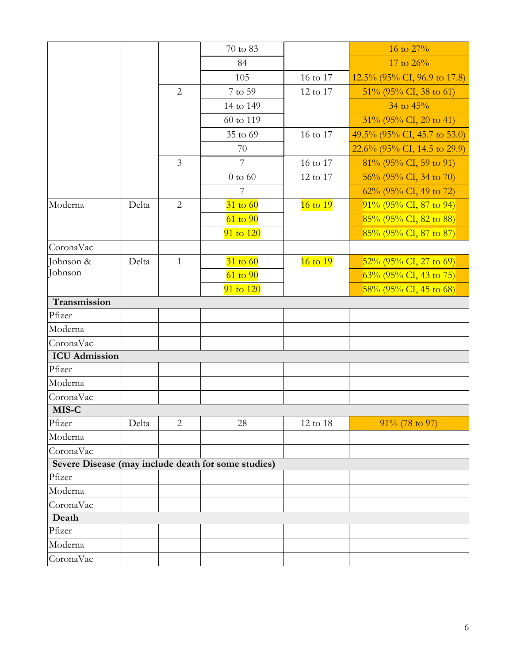|                      |       |                | 70 to 83                                            |          | 16 to 27%                       |
|----------------------|-------|----------------|-----------------------------------------------------|----------|---------------------------------|
|                      |       |                | 84                                                  |          | 17 to 26%                       |
|                      |       |                | 105                                                 | 16 to 17 | $12.5\%$ (95% CI, 96.9 to 17.8) |
|                      |       | $\overline{2}$ | 7 to 59                                             | 12 to 17 | $51\%$ (95% CI, 38 to 61)       |
|                      |       |                | 14 to 149                                           |          | 34 to $45%$                     |
|                      |       |                | 60 to 119                                           |          | $31\%$ (95% CI, 20 to 41)       |
|                      |       |                | 35 to 69                                            | 16 to 17 | 49.5% (95% CI, 45.7 to 53.0)    |
|                      |       |                | 70                                                  |          | 22.6% (95% CI, 14.5 to 29.9)    |
|                      |       | $\mathfrak{Z}$ | $7\phantom{.0}$                                     | 16 to 17 | $81\%$ (95% CI, 59 to 91)       |
|                      |       |                | $0$ to $60$                                         | 12 to 17 | $56\%$ (95% CI, 34 to 70)       |
|                      |       |                | 7                                                   |          | 62% (95% CI, 49 to 72)          |
| Moderna              | Delta | $\overline{2}$ | $31$ to 60                                          | 16 to 19 | $91\%$ (95% CI, 87 to 94)       |
|                      |       |                | $61$ to $90$                                        |          | 85% (95% CI, 82 to 88)          |
|                      |       |                | 91 to 120                                           |          | $85\%$ (95% CI, 87 to 87)       |
| CoronaVac            |       |                |                                                     |          |                                 |
| Johnson &            | Delta | $\mathbf{1}$   | $31$ to 60                                          | 16 to 19 | $52\%$ (95% CI, 27 to 69)       |
| Johnson              |       |                | $61$ to $90$                                        |          | $63\%$ (95% CI, 43 to 75)       |
|                      |       |                | 91 to 120                                           |          | $58\%$ (95% CI, 45 to 68)       |
| Transmission         |       |                |                                                     |          |                                 |
| Pfizer               |       |                |                                                     |          |                                 |
| Moderna              |       |                |                                                     |          |                                 |
| CoronaVac            |       |                |                                                     |          |                                 |
| <b>ICU</b> Admission |       |                |                                                     |          |                                 |
| Pfizer               |       |                |                                                     |          |                                 |
| Moderna              |       |                |                                                     |          |                                 |
| CoronaVac            |       |                |                                                     |          |                                 |
| MIS-C                |       |                |                                                     |          |                                 |
| Pfizer               | Delta | $\overline{2}$ | 28                                                  | 12 to 18 | 91% (78 to 97)                  |
| Moderna              |       |                |                                                     |          |                                 |
| CoronaVac            |       |                |                                                     |          |                                 |
|                      |       |                | Severe Disease (may include death for some studies) |          |                                 |
| Pfizer               |       |                |                                                     |          |                                 |
| Moderna              |       |                |                                                     |          |                                 |
| CoronaVac            |       |                |                                                     |          |                                 |
| Death                |       |                |                                                     |          |                                 |
| Pfizer               |       |                |                                                     |          |                                 |
| Moderna              |       |                |                                                     |          |                                 |
| CoronaVac            |       |                |                                                     |          |                                 |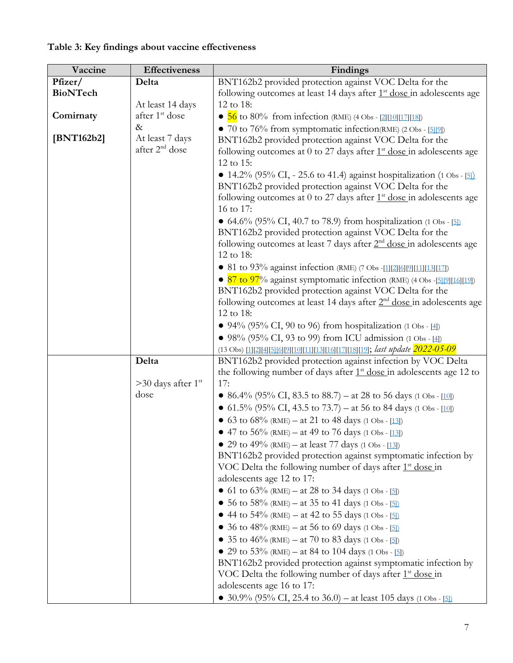| Vaccine         | Effectiveness                    | Findings                                                                                                                          |
|-----------------|----------------------------------|-----------------------------------------------------------------------------------------------------------------------------------|
| Pfizer/         | Delta                            | BNT162b2 provided protection against VOC Delta for the                                                                            |
| <b>BioNTech</b> |                                  | following outcomes at least 14 days after $1st$ dose in adolescents age                                                           |
|                 | At least 14 days                 | 12 to 18:                                                                                                                         |
| Comirnaty       | after 1 <sup>st</sup> dose       | • $\frac{56}{10}$ to 80% from infection (RME) (4 Obs - [2][10][17][18])                                                           |
|                 | $\&$                             | • 70 to 76% from symptomatic infection(RME) (2 Obs - [5][9])                                                                      |
| [BNT162b2]      | At least 7 days                  | BNT162b2 provided protection against VOC Delta for the                                                                            |
|                 | after 2 <sup>nd</sup> dose       | following outcomes at 0 to 27 days after $1st$ dose in adolescents age                                                            |
|                 |                                  | 12 to 15:                                                                                                                         |
|                 |                                  | • 14.2% (95% CI, - 25.6 to 41.4) against hospitalization (1 Obs - [5])                                                            |
|                 |                                  | BNT162b2 provided protection against VOC Delta for the                                                                            |
|                 |                                  | following outcomes at 0 to 27 days after $1st$ dose in adolescents age                                                            |
|                 |                                  | 16 to 17:                                                                                                                         |
|                 |                                  | • 64.6% (95% CI, 40.7 to 78.9) from hospitalization (1 Obs - [5])                                                                 |
|                 |                                  | BNT162b2 provided protection against VOC Delta for the                                                                            |
|                 |                                  | following outcomes at least 7 days after 2 <sup>nd</sup> dose in adolescents age                                                  |
|                 |                                  | 12 to 18:                                                                                                                         |
|                 |                                  | • 81 to 93% against infection (RME) (7 Obs -[1][2][6][9][11][13][17])                                                             |
|                 |                                  | • 87 to 97% against symptomatic infection (RME) (4 Obs -[5][2][16][19])<br>BNT162b2 provided protection against VOC Delta for the |
|                 |                                  | following outcomes at least 14 days after $2nd$ dose in adolescents age                                                           |
|                 |                                  | 12 to 18:                                                                                                                         |
|                 |                                  | • 94% (95% CI, 90 to 96) from hospitalization (1 Obs - $[4]$ )                                                                    |
|                 |                                  | • 98% (95% CI, 93 to 99) from ICU admission (1 Obs - [4])                                                                         |
|                 |                                  | (13 Obs) [1][2][4][5][6][2][10][11][13][16][17][18][19]; last update 2022-05-09                                                   |
|                 | Delta                            | BNT162b2 provided protection against infection by VOC Delta                                                                       |
|                 |                                  | the following number of days after $1st$ dose in adolescents age 12 to                                                            |
|                 | $>30$ days after 1 <sup>st</sup> | 17:                                                                                                                               |
|                 | dose                             | • 86.4% (95% CI, 83.5 to 88.7) – at 28 to 56 days (1 Obs - [10])                                                                  |
|                 |                                  | • 61.5% (95% CI, 43.5 to 73.7) – at 56 to 84 days (1 Obs - [10])                                                                  |
|                 |                                  | • 63 to 68% (RME) – at 21 to 48 days (1 Obs - [13])                                                                               |
|                 |                                  | • 47 to 56% (RME) – at 49 to 76 days (1 Obs - [13])                                                                               |
|                 |                                  | • 29 to 49% (RME) – at least 77 days (1 Obs - [13])                                                                               |
|                 |                                  | BNT162b2 provided protection against symptomatic infection by                                                                     |
|                 |                                  | VOC Delta the following number of days after 1 <sup>st</sup> dose in                                                              |
|                 |                                  | adolescents age 12 to 17:                                                                                                         |
|                 |                                  | • 61 to 63% (RME) – at 28 to 34 days (1 Obs - [5])                                                                                |
|                 |                                  | • 56 to 58% (RME) – at 35 to 41 days (1 Obs - [5])                                                                                |
|                 |                                  | • 44 to $54\%$ (RME) – at 42 to 55 days (1 Obs - [5])                                                                             |
|                 |                                  | 36 to 48% (RME) – at 56 to 69 days (1 Obs - [5])                                                                                  |
|                 |                                  | • 35 to 46% (RME) – at 70 to 83 days (1 Obs - [5])                                                                                |
|                 |                                  | • 29 to 53% (RME) – at 84 to 104 days (1 Obs - [5])                                                                               |
|                 |                                  | BNT162b2 provided protection against symptomatic infection by                                                                     |
|                 |                                  | VOC Delta the following number of days after $1st$ dose in                                                                        |
|                 |                                  | adolescents age 16 to 17:                                                                                                         |
|                 |                                  | • 30.9% (95% CI, 25.4 to 36.0) – at least 105 days (1 Obs - [5])                                                                  |

# **Table 3: Key findings about vaccine effectiveness**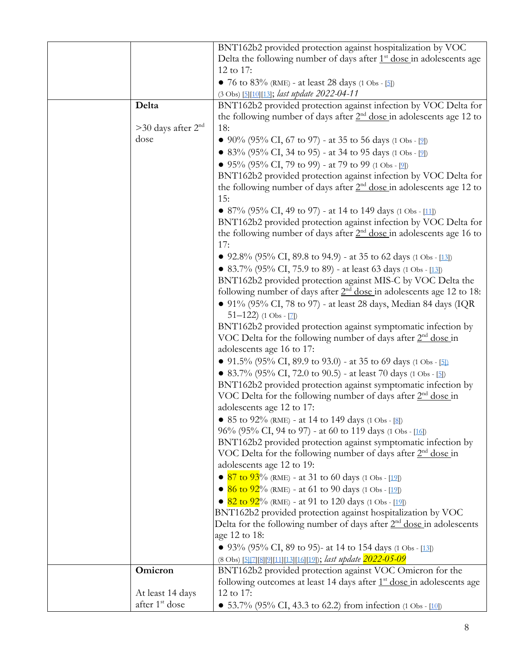| BNT162b2 provided protection against hospitalization by VOC<br>Delta the following number of days after $1st$ dose in adolescents age<br>12 to 17:<br>• 76 to $83\%$ (RME) - at least 28 days (1 Obs - [5])<br>(3 Obs) [5][10][13]; last update 2022-04-11<br>Delta<br>BNT162b2 provided protection against infection by VOC Delta for<br>the following number of days after $2nd$ dose in adolescents age 12 to<br>$>30$ days after $2nd$<br>18:<br>dose<br>• 90% (95% CI, 67 to 97) - at 35 to 56 days (1 Obs - [2]) |
|------------------------------------------------------------------------------------------------------------------------------------------------------------------------------------------------------------------------------------------------------------------------------------------------------------------------------------------------------------------------------------------------------------------------------------------------------------------------------------------------------------------------|
|                                                                                                                                                                                                                                                                                                                                                                                                                                                                                                                        |
|                                                                                                                                                                                                                                                                                                                                                                                                                                                                                                                        |
|                                                                                                                                                                                                                                                                                                                                                                                                                                                                                                                        |
|                                                                                                                                                                                                                                                                                                                                                                                                                                                                                                                        |
|                                                                                                                                                                                                                                                                                                                                                                                                                                                                                                                        |
|                                                                                                                                                                                                                                                                                                                                                                                                                                                                                                                        |
|                                                                                                                                                                                                                                                                                                                                                                                                                                                                                                                        |
|                                                                                                                                                                                                                                                                                                                                                                                                                                                                                                                        |
|                                                                                                                                                                                                                                                                                                                                                                                                                                                                                                                        |
| • 83% (95% CI, 34 to 95) - at 34 to 95 days (1 Obs - [2])                                                                                                                                                                                                                                                                                                                                                                                                                                                              |
| • 95% (95% CI, 79 to 99) - at 79 to 99 (1 Obs - [2])                                                                                                                                                                                                                                                                                                                                                                                                                                                                   |
| BNT162b2 provided protection against infection by VOC Delta for                                                                                                                                                                                                                                                                                                                                                                                                                                                        |
| the following number of days after $2nd$ dose in adolescents age 12 to                                                                                                                                                                                                                                                                                                                                                                                                                                                 |
| 15:                                                                                                                                                                                                                                                                                                                                                                                                                                                                                                                    |
| • 87% (95% CI, 49 to 97) - at 14 to 149 days (1 Obs - [11])                                                                                                                                                                                                                                                                                                                                                                                                                                                            |
| BNT162b2 provided protection against infection by VOC Delta for                                                                                                                                                                                                                                                                                                                                                                                                                                                        |
| the following number of days after $2nd$ dose in adolescents age 16 to                                                                                                                                                                                                                                                                                                                                                                                                                                                 |
| 17:                                                                                                                                                                                                                                                                                                                                                                                                                                                                                                                    |
| • 92.8% (95% CI, 89.8 to 94.9) - at 35 to 62 days (1 Obs - [13])                                                                                                                                                                                                                                                                                                                                                                                                                                                       |
| • 83.7% (95% CI, 75.9 to 89) - at least 63 days (1 Obs - [13])                                                                                                                                                                                                                                                                                                                                                                                                                                                         |
| BNT162b2 provided protection against MIS-C by VOC Delta the                                                                                                                                                                                                                                                                                                                                                                                                                                                            |
| following number of days after 2 <sup>nd</sup> dose in adolescents age 12 to 18:                                                                                                                                                                                                                                                                                                                                                                                                                                       |
| • $91\%$ (95% CI, 78 to 97) - at least 28 days, Median 84 days (IQR                                                                                                                                                                                                                                                                                                                                                                                                                                                    |
| $51-122$ ) (1 Obs - [7])                                                                                                                                                                                                                                                                                                                                                                                                                                                                                               |
| BNT162b2 provided protection against symptomatic infection by                                                                                                                                                                                                                                                                                                                                                                                                                                                          |
| VOC Delta for the following number of days after $2nd$ dose in                                                                                                                                                                                                                                                                                                                                                                                                                                                         |
| adolescents age 16 to 17:                                                                                                                                                                                                                                                                                                                                                                                                                                                                                              |
| • 91.5% (95% CI, 89.9 to 93.0) - at 35 to 69 days (1 Obs - [5])                                                                                                                                                                                                                                                                                                                                                                                                                                                        |
| • 83.7% (95% CI, 72.0 to 90.5) - at least 70 days (1 Obs - [5])                                                                                                                                                                                                                                                                                                                                                                                                                                                        |
|                                                                                                                                                                                                                                                                                                                                                                                                                                                                                                                        |
| BNT162b2 provided protection against symptomatic infection by                                                                                                                                                                                                                                                                                                                                                                                                                                                          |
| VOC Delta for the following number of days after 2 <sup>nd</sup> dose in                                                                                                                                                                                                                                                                                                                                                                                                                                               |
| adolescents age 12 to 17:                                                                                                                                                                                                                                                                                                                                                                                                                                                                                              |
| • 85 to $92\%$ (RME) - at 14 to 149 days (1 Obs - [8])                                                                                                                                                                                                                                                                                                                                                                                                                                                                 |
| 96% (95% CI, 94 to 97) - at 60 to 119 days (1 Obs - [16])                                                                                                                                                                                                                                                                                                                                                                                                                                                              |
| BNT162b2 provided protection against symptomatic infection by                                                                                                                                                                                                                                                                                                                                                                                                                                                          |
| VOC Delta for the following number of days after $2nd$ dose in                                                                                                                                                                                                                                                                                                                                                                                                                                                         |
| adolescents age 12 to 19:                                                                                                                                                                                                                                                                                                                                                                                                                                                                                              |
| • $87$ to $93\%$ (RME) - at 31 to 60 days (1 Obs - [19])                                                                                                                                                                                                                                                                                                                                                                                                                                                               |
| • 86 to $92\%$ (RME) - at 61 to 90 days (1 Obs - [19])                                                                                                                                                                                                                                                                                                                                                                                                                                                                 |
| • $82$ to $92\%$ (RME) - at 91 to 120 days (1 Obs - [19])                                                                                                                                                                                                                                                                                                                                                                                                                                                              |
| BNT162b2 provided protection against hospitalization by VOC                                                                                                                                                                                                                                                                                                                                                                                                                                                            |
| Delta for the following number of days after $2nd$ dose in adolescents                                                                                                                                                                                                                                                                                                                                                                                                                                                 |
| age 12 to 18:                                                                                                                                                                                                                                                                                                                                                                                                                                                                                                          |
| • 93% (95% CI, 89 to 95)- at 14 to 154 days (1 Obs - [13])                                                                                                                                                                                                                                                                                                                                                                                                                                                             |
| (8 Obs) [5][7][8][9][11][13][16][19]); last update 2022-05-09                                                                                                                                                                                                                                                                                                                                                                                                                                                          |
| BNT162b2 provided protection against VOC Omicron for the<br>Omicron                                                                                                                                                                                                                                                                                                                                                                                                                                                    |
| following outcomes at least 14 days after 1 <sup>st</sup> dose in adolescents age                                                                                                                                                                                                                                                                                                                                                                                                                                      |
| 12 to 17:<br>At least 14 days                                                                                                                                                                                                                                                                                                                                                                                                                                                                                          |
| after 1 <sup>st</sup> dose<br>• 53.7% (95% CI, 43.3 to 62.2) from infection (1 Obs - [10])                                                                                                                                                                                                                                                                                                                                                                                                                             |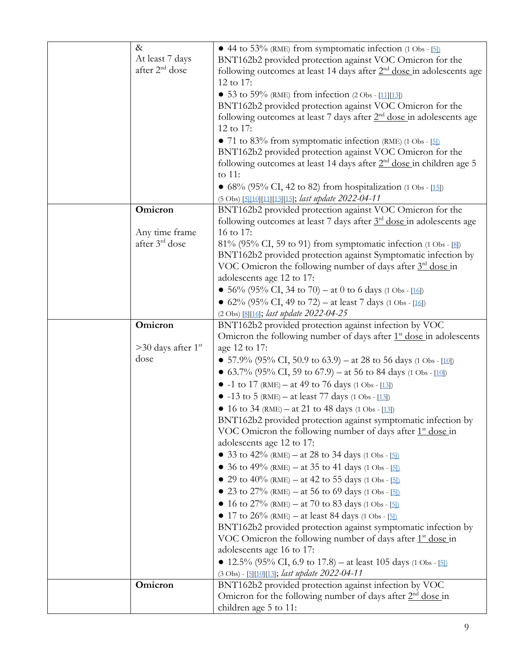| $\&$                             | • 44 to 53% (RME) from symptomatic infection (1 Obs - [5])                       |
|----------------------------------|----------------------------------------------------------------------------------|
| At least 7 days                  | BNT162b2 provided protection against VOC Omicron for the                         |
| after 2 <sup>nd</sup> dose       | following outcomes at least 14 days after $2nd$ dose in adolescents age          |
|                                  | 12 to 17:                                                                        |
|                                  | • 53 to 59% (RME) from infection $(2 \text{ Obs} - [11][13])$                    |
|                                  | BNT162b2 provided protection against VOC Omicron for the                         |
|                                  |                                                                                  |
|                                  | following outcomes at least 7 days after 2 <sup>nd</sup> dose in adolescents age |
|                                  | 12 to 17:                                                                        |
|                                  | • 71 to 83% from symptomatic infection (RME) $(1 \text{ Obs} - 5)$               |
|                                  | BNT162b2 provided protection against VOC Omicron for the                         |
|                                  | following outcomes at least 14 days after $2nd$ dose in children age 5           |
|                                  | to 11:                                                                           |
|                                  | • $68\%$ (95% CI, 42 to 82) from hospitalization (1 Obs - [15])                  |
|                                  | (5 Obs) [5][10][11][13][15]; last update 2022-04-11                              |
| Omicron                          | BNT162b2 provided protection against VOC Omicron for the                         |
|                                  | following outcomes at least 7 days after 3 <sup>rd</sup> dose in adolescents age |
| Any time frame                   | 16 to 17:                                                                        |
| after 3 <sup>rd</sup> dose       | $81\%$ (95% CI, 59 to 91) from symptomatic infection (1 Obs - [8])               |
|                                  | BNT162b2 provided protection against Symptomatic infection by                    |
|                                  | VOC Omicron the following number of days after $3rd$ dose in                     |
|                                  | adolescents age 12 to 17:                                                        |
|                                  | • 56% (95% CI, 34 to 70) – at 0 to 6 days (1 Obs - [16])                         |
|                                  |                                                                                  |
|                                  | • 62% (95% CI, 49 to 72) – at least 7 days (1 Obs - [16])                        |
| Omicron                          | (2 Obs) [8][16]; last update 2022-04-25                                          |
|                                  | BNT162b2 provided protection against infection by VOC                            |
|                                  | Omicron the following number of days after $1st$ dose in adolescents             |
| $>30$ days after 1 <sup>st</sup> | age 12 to 17:                                                                    |
| dose                             | • 57.9% (95% CI, 50.9 to 63.9) – at 28 to 56 days (1 Obs - [10])                 |
|                                  | • 63.7% (95% CI, 59 to 67.9) – at 56 to 84 days (1 Obs - [10])                   |
|                                  | • -1 to 17 (RME) – at 49 to 76 days (1 Obs - [13])                               |
|                                  | • $-13$ to 5 (RME) – at least 77 days (1 Obs - [13])                             |
|                                  | • 16 to 34 (RME) – at 21 to 48 days (1 Obs - [13])                               |
|                                  | BNT162b2 provided protection against symptomatic infection by                    |
|                                  | VOC Omicron the following number of days after 1 <sup>st</sup> dose in           |
|                                  | adolescents age 12 to 17:                                                        |
|                                  | • 33 to 42% (RME) – at 28 to 34 days (1 Obs - [5])                               |
|                                  | • 36 to 49% (RME) – at 35 to 41 days (1 Obs - [5])                               |
|                                  | • 29 to 40% (RME) – at 42 to 55 days (1 Obs - [5])                               |
|                                  | • 23 to 27% (RME) – at 56 to 69 days (1 Obs - [5])                               |
|                                  | • 16 to 27% (RME) – at 70 to 83 days (1 Obs - [5])                               |
|                                  | • 17 to 26% (RME) – at least 84 days (1 Obs - [5])                               |
|                                  |                                                                                  |
|                                  | BNT162b2 provided protection against symptomatic infection by                    |
|                                  | VOC Omicron the following number of days after $1st$ dose in                     |
|                                  | adolescents age 16 to 17:                                                        |
|                                  | • 12.5% (95% CI, 6.9 to 17.8) – at least 105 days (1 Obs - [5]).                 |
|                                  | (3 Obs) - [5][10][13]; last update 2022-04-11                                    |
| Omicron                          | BNT162b2 provided protection against infection by VOC                            |
|                                  | Omicron for the following number of days after $2nd$ dose in                     |
|                                  | children age 5 to 11:                                                            |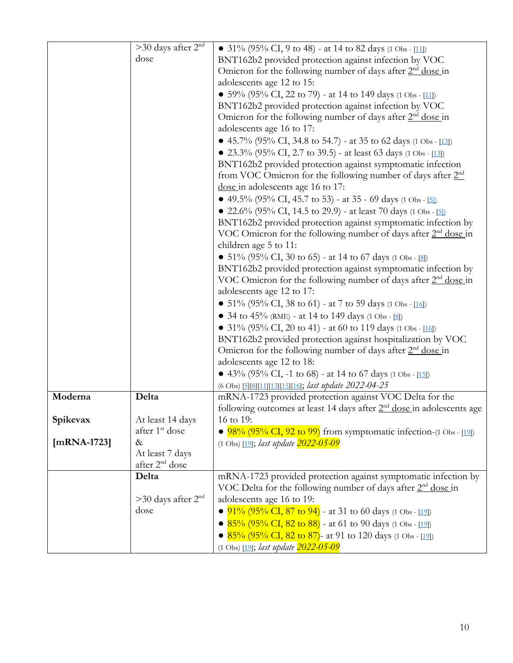|               | $>$ 30 days after 2 <sup>nd</sup>  | • 31% (95% CI, 9 to 48) - at 14 to 82 days (1 Obs - [11])                  |
|---------------|------------------------------------|----------------------------------------------------------------------------|
|               | dose                               | BNT162b2 provided protection against infection by VOC                      |
|               |                                    | Omicron for the following number of days after $2nd$ dose in               |
|               |                                    | adolescents age 12 to 15:                                                  |
|               |                                    | • 59% (95% CI, 22 to 79) - at 14 to 149 days (1 Obs - [11])                |
|               |                                    | BNT162b2 provided protection against infection by VOC                      |
|               |                                    | Omicron for the following number of days after $2nd$ dose in               |
|               |                                    | adolescents age 16 to 17:                                                  |
|               |                                    | • 45.7% (95% CI, 34.8 to 54.7) - at 35 to 62 days (1 Obs - [13])           |
|               |                                    | • 23.3% (95% CI, 2.7 to 39.5) - at least 63 days (1 Obs - [13])            |
|               |                                    | BNT162b2 provided protection against symptomatic infection                 |
|               |                                    | from VOC Omicron for the following number of days after 2 <sup>nd</sup>    |
|               |                                    | dose in adolescents age 16 to 17:                                          |
|               |                                    | • 49.5% (95% CI, 45.7 to 53) - at 35 - 69 days (1 Obs - [5])               |
|               |                                    | • 22.6% (95% CI, 14.5 to 29.9) - at least 70 days (1 Obs - [5])            |
|               |                                    | BNT162b2 provided protection against symptomatic infection by              |
|               |                                    | VOC Omicron for the following number of days after $2nd$ dose in           |
|               |                                    | children age 5 to 11:                                                      |
|               |                                    | • $51\%$ (95% CI, 30 to 65) - at 14 to 67 days (1 Obs - [8])               |
|               |                                    | BNT162b2 provided protection against symptomatic infection by              |
|               |                                    | VOC Omicron for the following number of days after 2 <sup>nd</sup> dose in |
|               |                                    | adolescents age 12 to 17:                                                  |
|               |                                    | • 51% (95% CI, 38 to 61) - at 7 to 59 days (1 Obs - [16])                  |
|               |                                    | • 34 to 45% (RME) - at 14 to 149 days (1 Obs - [8])                        |
|               |                                    | • 31% (95% CI, 20 to 41) - at 60 to 119 days (1 Obs - [16])                |
|               |                                    | BNT162b2 provided protection against hospitalization by VOC                |
|               |                                    | Omicron for the following number of days after $2nd$ dose in               |
|               |                                    | adolescents age 12 to 18:                                                  |
|               |                                    | • 43% (95% CI, -1 to 68) - at 14 to 67 days (1 Obs - [15])                 |
|               |                                    | (6 Obs) [5][8][11][13][15][16]; last update 2022-04-25                     |
| Moderna       | Delta                              | mRNA-1723 provided protection against VOC Delta for the                    |
|               |                                    | following outcomes at least 14 days after $2nd$ dose in adolescents age    |
| Spikevax      | At least 14 days                   | 16 to 19:                                                                  |
| $[mRNA-1723]$ | after 1 <sup>st</sup> dose<br>$\&$ | $98\%$ (95% CI, 92 to 99) from symptomatic infection-(1 Obs - [19])        |
|               | At least 7 days                    | (1 Obs) [19]; <i>last update</i> $\frac{2022 - 05 - 09}{ }$                |
|               | after 2 <sup>nd</sup> dose         |                                                                            |
|               | Delta                              | mRNA-1723 provided protection against symptomatic infection by             |
|               |                                    | VOC Delta for the following number of days after $2nd$ dose in             |
|               | $>$ 30 days after 2 <sup>nd</sup>  | adolescents age 16 to 19:                                                  |
|               | dose                               | $91\%$ (95% CI, 87 to 94) - at 31 to 60 days (1 Obs - [19])                |
|               |                                    | • $85\%$ (95% CI, 82 to 88) - at 61 to 90 days (1 Obs - [19])              |
|               |                                    | • $85\%$ (95% CI, 82 to 87)- at 91 to 120 days (1 Obs - [19])              |
|               |                                    | (1 Obs) [19]; <i>last update</i> $\frac{2022 - 05 - 09}{ }$                |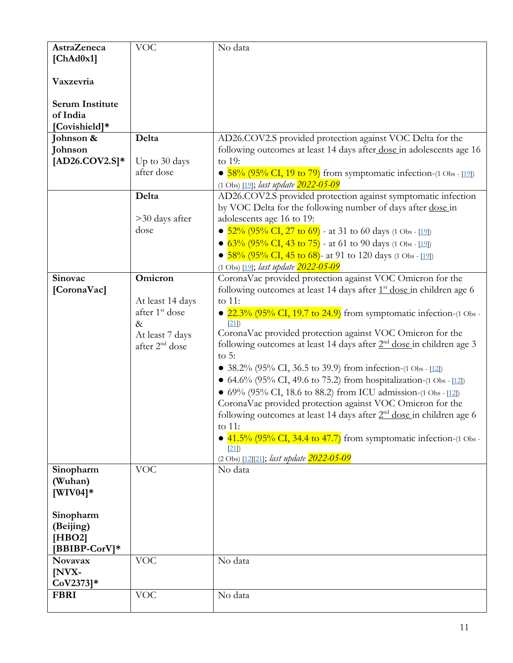| <b>AstraZeneca</b><br>[ChAd0x1]                     | <b>VOC</b>                                                                                              | No data                                                                                                                                                                                                                                                                                                                                                                                                                                                                                                                                                                                                                                                                                                                                                                                                                                                |
|-----------------------------------------------------|---------------------------------------------------------------------------------------------------------|--------------------------------------------------------------------------------------------------------------------------------------------------------------------------------------------------------------------------------------------------------------------------------------------------------------------------------------------------------------------------------------------------------------------------------------------------------------------------------------------------------------------------------------------------------------------------------------------------------------------------------------------------------------------------------------------------------------------------------------------------------------------------------------------------------------------------------------------------------|
|                                                     |                                                                                                         |                                                                                                                                                                                                                                                                                                                                                                                                                                                                                                                                                                                                                                                                                                                                                                                                                                                        |
| Vaxzevria                                           |                                                                                                         |                                                                                                                                                                                                                                                                                                                                                                                                                                                                                                                                                                                                                                                                                                                                                                                                                                                        |
| <b>Serum Institute</b><br>of India<br>[Covishield]* |                                                                                                         |                                                                                                                                                                                                                                                                                                                                                                                                                                                                                                                                                                                                                                                                                                                                                                                                                                                        |
| Johnson &<br>Johnson<br>$[AD26.COV2.S]*$            | Delta<br>Up to 30 days<br>after dose                                                                    | AD26.COV2.S provided protection against VOC Delta for the<br>following outcomes at least 14 days after dose in adolescents age 16<br>to 19:<br>• $58\%$ (95% CI, 19 to 79) from symptomatic infection-(1 Obs - [19])                                                                                                                                                                                                                                                                                                                                                                                                                                                                                                                                                                                                                                   |
|                                                     |                                                                                                         | (1 Obs) [19]; last update 2022-05-09                                                                                                                                                                                                                                                                                                                                                                                                                                                                                                                                                                                                                                                                                                                                                                                                                   |
|                                                     | Delta<br>>30 days after<br>dose                                                                         | AD26.COV2.S provided protection against symptomatic infection<br>by VOC Delta for the following number of days after dose in<br>adolescents age 16 to 19:<br>• $52\%$ (95% CI, 27 to 69) - at 31 to 60 days (1 Obs - [19])<br>• $63\%$ (95% CI, 43 to 75) - at 61 to 90 days (1 Obs - [19])<br>• $58\%$ (95% CI, 45 to 68)- at 91 to 120 days (1 Obs - [19])<br>(1 Obs) [19]; <i>last update</i> 2022-05-09                                                                                                                                                                                                                                                                                                                                                                                                                                            |
| Sinovac                                             | Omicron                                                                                                 | CoronaVac provided protection against VOC Omicron for the                                                                                                                                                                                                                                                                                                                                                                                                                                                                                                                                                                                                                                                                                                                                                                                              |
| [CoronaVac]                                         | At least 14 days<br>after 1 <sup>st</sup> dose<br>$\&$<br>At least 7 days<br>after 2 <sup>nd</sup> dose | following outcomes at least 14 days after 1 <sup>st</sup> dose in children age 6<br>to 11:<br>$22.3\%$ (95% CI, 19.7 to 24.9) from symptomatic infection- $(1 \text{ Obs} - 1)$<br>[21]<br>CoronaVac provided protection against VOC Omicron for the<br>following outcomes at least 14 days after $2nd$ dose in children age 3<br>to $5:$<br>• 38.2% (95% CI, 36.5 to 39.9) from infection-(1 Obs - [12])<br>• 64.6% (95% CI, 49.6 to 75.2) from hospitalization-(1 Obs - [12])<br>• $69\%$ (95% CI, 18.6 to 88.2) from ICU admission-(1 Obs - [12])<br>CoronaVac provided protection against VOC Omicron for the<br>following outcomes at least 14 days after 2 <sup>nd</sup> dose in children age 6<br>to 11:<br>41.5% (95% CI, 34.4 to 47.7) from symptomatic infection-(1 Obs -<br>$\bullet$<br>$[21]$<br>(2 Obs) [12][21]; last update 2022-05-09 |
| Sinopharm<br>(Wuhan)<br>$[WIV04]*$                  | <b>VOC</b>                                                                                              | No data                                                                                                                                                                                                                                                                                                                                                                                                                                                                                                                                                                                                                                                                                                                                                                                                                                                |
| Sinopharm<br>(Beijing)<br>[HBO2]<br>[BBIBP-CorV]*   |                                                                                                         |                                                                                                                                                                                                                                                                                                                                                                                                                                                                                                                                                                                                                                                                                                                                                                                                                                                        |
| <b>Novavax</b><br>[NVX-<br>$CoV2373]*$              | <b>VOC</b>                                                                                              | No data                                                                                                                                                                                                                                                                                                                                                                                                                                                                                                                                                                                                                                                                                                                                                                                                                                                |
| <b>FBRI</b>                                         | <b>VOC</b>                                                                                              | No data                                                                                                                                                                                                                                                                                                                                                                                                                                                                                                                                                                                                                                                                                                                                                                                                                                                |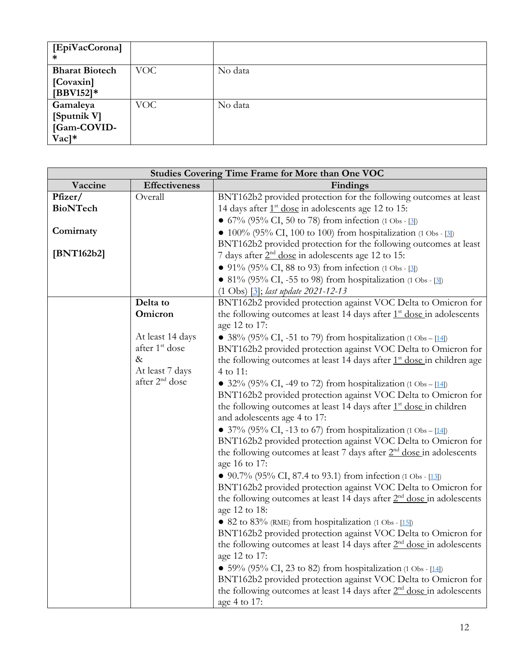| [EpiVacCorona]<br>∗    |     |         |
|------------------------|-----|---------|
| <b>Bharat Biotech</b>  | VOC | No data |
| [Covaxin]              |     |         |
| $[BBV152]*$            |     |         |
| Gamaleya               | VOC | No data |
| [Sputnik V]            |     |         |
| [Gam-COVID-            |     |         |
| $\rm Vac$ <sup>*</sup> |     |         |

| <b>Studies Covering Time Frame for More than One VOC</b> |                            |                                                                                   |  |  |  |
|----------------------------------------------------------|----------------------------|-----------------------------------------------------------------------------------|--|--|--|
| Vaccine                                                  | <b>Effectiveness</b>       | Findings                                                                          |  |  |  |
| Pfizer/                                                  | Overall                    | BNT162b2 provided protection for the following outcomes at least                  |  |  |  |
| <b>BioNTech</b>                                          |                            | 14 days after 1 <sup>st</sup> dose in adolescents age 12 to 15:                   |  |  |  |
|                                                          |                            | • $67\%$ (95% CI, 50 to 78) from infection (1 Obs - [3])                          |  |  |  |
| Comirnaty                                                |                            | • $100\%$ (95% CI, 100 to 100) from hospitalization (1 Obs - [3])                 |  |  |  |
|                                                          |                            | BNT162b2 provided protection for the following outcomes at least                  |  |  |  |
| [BNT162b2]                                               |                            | 7 days after $2nd$ dose in adolescents age 12 to 15:                              |  |  |  |
|                                                          |                            | • 91% (95% CI, 88 to 93) from infection (1 Obs - [3])                             |  |  |  |
|                                                          |                            | • 81% (95% CI, -55 to 98) from hospitalization (1 Obs - [3])                      |  |  |  |
|                                                          |                            | $(1 \text{ Obs})$ $[3]$ ; last update 2021-12-13                                  |  |  |  |
|                                                          | Delta to                   | BNT162b2 provided protection against VOC Delta to Omicron for                     |  |  |  |
|                                                          | Omicron                    | the following outcomes at least 14 days after $1st$ dose in adolescents           |  |  |  |
|                                                          |                            | age 12 to 17:                                                                     |  |  |  |
|                                                          | At least 14 days           | • 38% (95% CI, -51 to 79) from hospitalization (1 Obs – [14])                     |  |  |  |
|                                                          | after 1 <sup>st</sup> dose | BNT162b2 provided protection against VOC Delta to Omicron for                     |  |  |  |
|                                                          | $\&$                       | the following outcomes at least 14 days after $1st$ dose in children age          |  |  |  |
|                                                          | At least 7 days            | 4 to 11:                                                                          |  |  |  |
|                                                          | after 2 <sup>nd</sup> dose | • 32% (95% CI, -49 to 72) from hospitalization (1 Obs – [14])                     |  |  |  |
|                                                          |                            | BNT162b2 provided protection against VOC Delta to Omicron for                     |  |  |  |
|                                                          |                            | the following outcomes at least 14 days after $1st$ dose in children              |  |  |  |
|                                                          |                            | and adolescents age 4 to 17:                                                      |  |  |  |
|                                                          |                            | • 37% (95% CI, -13 to 67) from hospitalization (1 Obs – [14])                     |  |  |  |
|                                                          |                            | BNT162b2 provided protection against VOC Delta to Omicron for                     |  |  |  |
|                                                          |                            | the following outcomes at least 7 days after $2nd$ dose in adolescents            |  |  |  |
|                                                          |                            | age 16 to 17:                                                                     |  |  |  |
|                                                          |                            | • 90.7% (95% CI, 87.4 to 93.1) from infection (1 Obs - [13])                      |  |  |  |
|                                                          |                            | BNT162b2 provided protection against VOC Delta to Omicron for                     |  |  |  |
|                                                          |                            | the following outcomes at least 14 days after $2nd$ dose in adolescents           |  |  |  |
|                                                          |                            | age 12 to 18:                                                                     |  |  |  |
|                                                          |                            | • 82 to 83% (RME) from hospitalization (1 Obs - $[15]$ )                          |  |  |  |
|                                                          |                            | BNT162b2 provided protection against VOC Delta to Omicron for                     |  |  |  |
|                                                          |                            | the following outcomes at least 14 days after 2 <sup>nd</sup> dose in adolescents |  |  |  |
|                                                          |                            | age 12 to 17:                                                                     |  |  |  |
|                                                          |                            | • 59% (95% CI, 23 to 82) from hospitalization (1 Obs - [14])                      |  |  |  |
|                                                          |                            | BNT162b2 provided protection against VOC Delta to Omicron for                     |  |  |  |
|                                                          |                            | the following outcomes at least 14 days after 2 <sup>nd</sup> dose in adolescents |  |  |  |
|                                                          |                            | age 4 to 17:                                                                      |  |  |  |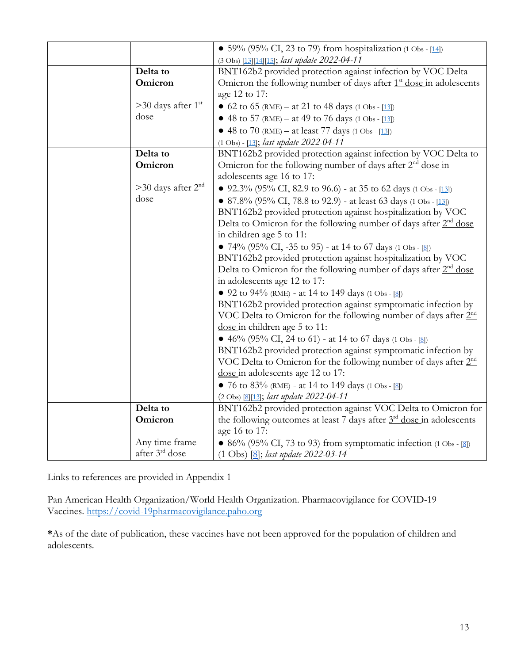|                                  | • 59% (95% CI, 23 to 79) from hospitalization (1 Obs - [14])                            |
|----------------------------------|-----------------------------------------------------------------------------------------|
|                                  | (3 Obs) [13][14][15]; last update 2022-04-11                                            |
| Delta to                         | BNT162b2 provided protection against infection by VOC Delta                             |
| Omicron                          | Omicron the following number of days after 1 <sup>st</sup> dose in adolescents          |
|                                  | age 12 to 17:                                                                           |
| $>30$ days after 1 <sup>st</sup> | • 62 to 65 (RME) – at 21 to 48 days (1 Obs - [13])                                      |
| dose                             | • 48 to 57 (RME) – at 49 to 76 days (1 Obs - [13])                                      |
|                                  | • 48 to 70 (RME) – at least 77 days (1 Obs - $[13]$ )                                   |
|                                  | (1 Obs) - [13]; last update 2022-04-11                                                  |
| Delta to                         | BNT162b2 provided protection against infection by VOC Delta to                          |
| Omicron                          | Omicron for the following number of days after 2 <sup>nd</sup> dose in                  |
|                                  | adolescents age 16 to 17:                                                               |
| $>30$ days after $2nd$           | • 92.3% (95% CI, 82.9 to 96.6) - at 35 to 62 days (1 Obs - [13])                        |
| dose                             | • 87.8% (95% CI, 78.8 to 92.9) - at least 63 days (1 Obs - [13])                        |
|                                  | BNT162b2 provided protection against hospitalization by VOC                             |
|                                  | Delta to Omicron for the following number of days after 2 <sup>nd</sup> dose            |
|                                  | in children age 5 to 11:                                                                |
|                                  | • 74% (95% CI, -35 to 95) - at 14 to 67 days (1 Obs - [8])                              |
|                                  | BNT162b2 provided protection against hospitalization by VOC                             |
|                                  | Delta to Omicron for the following number of days after $2nd$ dose                      |
|                                  | in adolescents age 12 to 17:                                                            |
|                                  | • 92 to 94% (RME) - at 14 to 149 days (1 Obs - [8])                                     |
|                                  | BNT162b2 provided protection against symptomatic infection by                           |
|                                  | VOC Delta to Omicron for the following number of days after 2 <sup>nd</sup>             |
|                                  | dose in children age 5 to 11:                                                           |
|                                  | • 46% (95% CI, 24 to 61) - at 14 to 67 days (1 Obs - [8])                               |
|                                  | BNT162b2 provided protection against symptomatic infection by                           |
|                                  | VOC Delta to Omicron for the following number of days after 2 <sup>nd</sup>             |
|                                  | dose in adolescents age 12 to 17:                                                       |
|                                  | • 76 to 83% (RME) - at 14 to 149 days (1 Obs - [8])                                     |
|                                  | (2 Obs) [8][13]; last update 2022-04-11                                                 |
| Delta to                         | BNT162b2 provided protection against VOC Delta to Omicron for                           |
| Omicron                          | the following outcomes at least 7 days after 3 <sup>rd</sup> dose in adolescents        |
|                                  | age 16 to 17:                                                                           |
| Any time frame                   | • 86% (95% CI, 73 to 93) from symptomatic infection $(1 \text{ Obs} - [\underline{8}])$ |
| after 3 <sup>rd</sup> dose       | $(1 \text{ Obs})$ $[8]$ ; last update 2022-03-14                                        |

Links to references are provided in Appendix 1

Pan American Health Organization/World Health Organization. Pharmacovigilance for COVID-19 Vaccines. [https://covid-19pharmacovigilance.paho.org](https://covid-19pharmacovigilance.paho.org/)

**\***As of the date of publication, these vaccines have not been approved for the population of children and adolescents.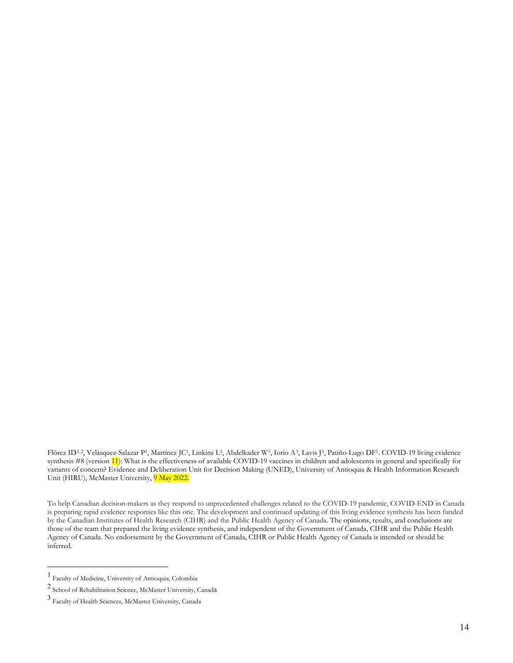Flórez ID[1,](#page-13-0)[2](#page-13-1), Velásquez-Salazar P1, Martínez JC1, Linkins L3, Abdelkader W3, Iorio A[3](#page-13-2), Lavis J3, Patiño-Lugo DF1. COVID-19 living evidence synthesis #8 (version 11): What is the effectiveness of available COVID-19 vaccines in children and adolescents in general and specifically for variants of concern? Evidence and Deliberation Unit for Decision Making (UNED), University of Antioquia & Health Information Research Unit (HIRU), McMaster University, 9 May 2022.

To help Canadian decision-makers as they respond to unprecedented challenges related to the COVID-19 pandemic, COVID-END in Canada is preparing rapid evidence responses like this one. The development and continued updating of this living evidence synthesis has been funded by the Canadian Institutes of Health Research (CIHR) and the Public Health Agency of Canada. The opinions, results, and conclusions are those of the team that prepared the living evidence synthesis, and independent of the Government of Canada, CIHR and the Public Health Agency of Canada. No endorsement by the Government of Canada, CIHR or Public Health Agency of Canada is intended or should be inferred.

 $\overline{a}$ 

<span id="page-13-0"></span><sup>1</sup> Faculty of Medicine, University of Antioquia, Colombia

<span id="page-13-1"></span><sup>2</sup> School of Rehabilitation Science, McMaster University, Canada

<span id="page-13-2"></span><sup>3</sup> Faculty of Health Sciences, McMaster University, Canada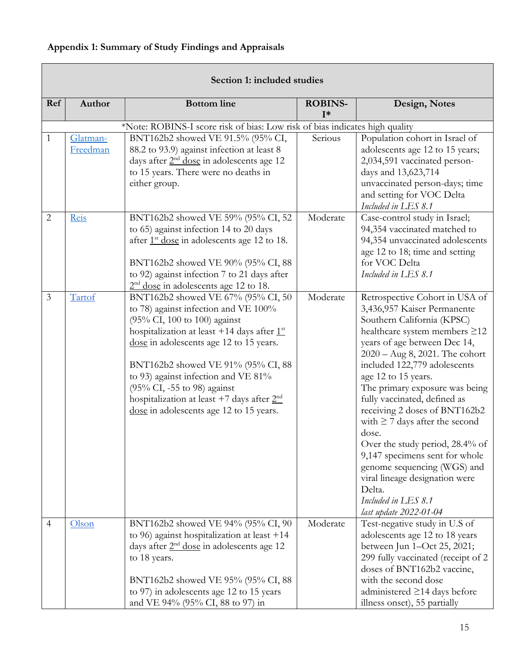# <span id="page-14-0"></span>**Appendix 1: Summary of Study Findings and Appraisals**

 $\Box$ 

|                | Section 1: included studies |                                                                                                                                                                                                                                                                                                                                                                                                               |                         |                                                                                                                                                                                                                                                                                                                                                                                                                                                                                                                                                                                                             |  |  |
|----------------|-----------------------------|---------------------------------------------------------------------------------------------------------------------------------------------------------------------------------------------------------------------------------------------------------------------------------------------------------------------------------------------------------------------------------------------------------------|-------------------------|-------------------------------------------------------------------------------------------------------------------------------------------------------------------------------------------------------------------------------------------------------------------------------------------------------------------------------------------------------------------------------------------------------------------------------------------------------------------------------------------------------------------------------------------------------------------------------------------------------------|--|--|
| Ref            | Author                      | <b>Bottom</b> line                                                                                                                                                                                                                                                                                                                                                                                            | <b>ROBINS-</b><br>$I^*$ | Design, Notes                                                                                                                                                                                                                                                                                                                                                                                                                                                                                                                                                                                               |  |  |
|                |                             | *Note: ROBINS-I score risk of bias: Low risk of bias indicates high quality                                                                                                                                                                                                                                                                                                                                   |                         |                                                                                                                                                                                                                                                                                                                                                                                                                                                                                                                                                                                                             |  |  |
| 1              | Glatman-<br>Freedman        | BNT162b2 showed VE 91.5% (95% CI,<br>88.2 to 93.9) against infection at least 8<br>days after $2nd$ dose in adolescents age 12<br>to 15 years. There were no deaths in<br>either group.                                                                                                                                                                                                                       | Serious                 | Population cohort in Israel of<br>adolescents age 12 to 15 years;<br>2,034,591 vaccinated person-<br>days and 13,623,714<br>unvaccinated person-days; time<br>and setting for VOC Delta<br>Included in LES 8.1                                                                                                                                                                                                                                                                                                                                                                                              |  |  |
| $\overline{2}$ | Reis                        | BNT162b2 showed VE 59% (95% CI, 52<br>to 65) against infection 14 to 20 days<br>after 1 <sup>st</sup> dose in adolescents age 12 to 18.<br>BNT162b2 showed VE 90% (95% CI, 88<br>to 92) against infection 7 to 21 days after<br>$2nd$ dose in adolescents age 12 to 18.                                                                                                                                       | Moderate                | Case-control study in Israel;<br>94,354 vaccinated matched to<br>94,354 unvaccinated adolescents<br>age 12 to 18; time and setting<br>for VOC Delta<br>Included in LES 8.1                                                                                                                                                                                                                                                                                                                                                                                                                                  |  |  |
| $\mathfrak{Z}$ | Tartof                      | BNT162b2 showed VE 67% (95% CI, 50<br>to 78) against infection and VE 100%<br>(95% CI, 100 to 100) against<br>hospitalization at least +14 days after $1st$<br>dose in adolescents age 12 to 15 years.<br>BNT162b2 showed VE 91% (95% CI, 88<br>to 93) against infection and VE 81%<br>(95% CI, -55 to 98) against<br>hospitalization at least +7 days after $2nd$<br>dose in adolescents age 12 to 15 years. | Moderate                | Retrospective Cohort in USA of<br>3,436,957 Kaiser Permanente<br>Southern California (KPSC)<br>healthcare system members ≥12<br>years of age between Dec 14,<br>$2020 - Aug 8, 2021.$ The cohort<br>included 122,779 adolescents<br>age 12 to 15 years.<br>The primary exposure was being<br>fully vaccinated, defined as<br>receiving 2 doses of BNT162b2<br>with $\geq$ 7 days after the second<br>dose.<br>Over the study period, 28.4% of<br>9,147 specimens sent for whole<br>genome sequencing (WGS) and<br>viral lineage designation were<br>Delta.<br>Included in LES 8.1<br>last update 2022-01-04 |  |  |
| $\overline{4}$ | Olson                       | BNT162b2 showed VE 94% (95% CI, 90<br>to 96) against hospitalization at least $+14$<br>days after $2nd$ dose in adolescents age 12<br>to 18 years.<br>BNT162b2 showed VE 95% (95% CI, 88<br>to 97) in adolescents age 12 to 15 years<br>and VE 94% (95% CI, 88 to 97) in                                                                                                                                      | Moderate                | Test-negative study in U.S of<br>adolescents age 12 to 18 years<br>between Jun 1-Oct 25, 2021;<br>299 fully vaccinated (receipt of 2<br>doses of BNT162b2 vaccine,<br>with the second dose<br>administered $\geq$ 14 days before<br>illness onset), 55 partially                                                                                                                                                                                                                                                                                                                                            |  |  |

٦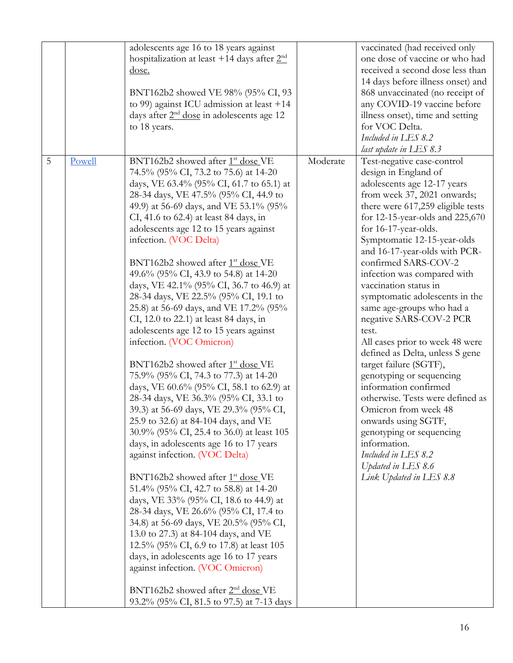| 5 | Powell | adolescents age 16 to 18 years against<br>hospitalization at least +14 days after $2nd$<br>dose.<br>BNT162b2 showed VE 98% (95% CI, 93<br>to 99) against ICU admission at least $+14$<br>days after $2nd$ dose in adolescents age 12<br>to 18 years.<br>BNT162b2 showed after 1 <sup>st</sup> dose VE                                                                                                                                                                                                                                                                                                                                                                                                                                                                                                                                                                                                                                                                                                                                                                                                                                                                                                                                                                                                                                                                                                                                                                                                | Moderate | vaccinated (had received only<br>one dose of vaccine or who had<br>received a second dose less than<br>14 days before illness onset) and<br>868 unvaccinated (no receipt of<br>any COVID-19 vaccine before<br>illness onset), time and setting<br>for VOC Delta.<br>Included in LES 8.2<br>last update in LES 8.3<br>Test-negative case-control                                                                                                                                                                                                                                                                                                                                                                                                                                                   |
|---|--------|------------------------------------------------------------------------------------------------------------------------------------------------------------------------------------------------------------------------------------------------------------------------------------------------------------------------------------------------------------------------------------------------------------------------------------------------------------------------------------------------------------------------------------------------------------------------------------------------------------------------------------------------------------------------------------------------------------------------------------------------------------------------------------------------------------------------------------------------------------------------------------------------------------------------------------------------------------------------------------------------------------------------------------------------------------------------------------------------------------------------------------------------------------------------------------------------------------------------------------------------------------------------------------------------------------------------------------------------------------------------------------------------------------------------------------------------------------------------------------------------------|----------|---------------------------------------------------------------------------------------------------------------------------------------------------------------------------------------------------------------------------------------------------------------------------------------------------------------------------------------------------------------------------------------------------------------------------------------------------------------------------------------------------------------------------------------------------------------------------------------------------------------------------------------------------------------------------------------------------------------------------------------------------------------------------------------------------|
|   |        | 74.5% (95% CI, 73.2 to 75.6) at 14-20<br>days, VE 63.4% (95% CI, 61.7 to 65.1) at<br>28-34 days, VE 47.5% (95% CI, 44.9 to<br>49.9) at 56-69 days, and VE 53.1% (95%<br>CI, 41.6 to 62.4) at least 84 days, in<br>adolescents age 12 to 15 years against<br>infection. (VOC Delta)<br>BNT162b2 showed after 1 <sup>st</sup> dose VE<br>49.6% (95% CI, 43.9 to 54.8) at 14-20<br>days, VE 42.1% (95% CI, 36.7 to 46.9) at<br>28-34 days, VE 22.5% (95% CI, 19.1 to<br>25.8) at 56-69 days, and VE 17.2% (95%<br>CI, 12.0 to 22.1) at least 84 days, in<br>adolescents age 12 to 15 years against<br>infection. (VOC Omicron)<br>BNT162b2 showed after 1 <sup>st</sup> dose VE<br>75.9% (95% CI, 74.3 to 77.3) at 14-20<br>days, VE 60.6% (95% CI, 58.1 to 62.9) at<br>28-34 days, VE 36.3% (95% CI, 33.1 to<br>39.3) at 56-69 days, VE 29.3% (95% CI,<br>25.9 to 32.6) at 84-104 days, and VE<br>30.9% (95% CI, 25.4 to 36.0) at least 105<br>days, in adolescents age 16 to 17 years<br>against infection. (VOC Delta)<br>BNT162b2 showed after $1st$ dose VE<br>51.4% (95% CI, 42.7 to 58.8) at 14-20<br>days, VE 33% (95% CI, 18.6 to 44.9) at<br>28-34 days, VE 26.6% (95% CI, 17.4 to<br>34.8) at 56-69 days, VE 20.5% (95% CI,<br>13.0 to 27.3) at 84-104 days, and VE<br>12.5% (95% CI, 6.9 to 17.8) at least 105<br>days, in adolescents age 16 to 17 years<br>against infection. (VOC Omicron)<br>BNT162b2 showed after 2 <sup>nd</sup> dose VE<br>93.2% (95% CI, 81.5 to 97.5) at 7-13 days |          | design in England of<br>adolescents age 12-17 years<br>from week 37, 2021 onwards;<br>there were 617,259 eligible tests<br>for 12-15-year-olds and 225,670<br>for 16-17-year-olds.<br>Symptomatic 12-15-year-olds<br>and 16-17-year-olds with PCR-<br>confirmed SARS-COV-2<br>infection was compared with<br>vaccination status in<br>symptomatic adolescents in the<br>same age-groups who had a<br>negative SARS-COV-2 PCR<br>test.<br>All cases prior to week 48 were<br>defined as Delta, unless S gene<br>target failure (SGTF),<br>genotyping or sequencing<br>information confirmed<br>otherwise. Tests were defined as<br>Omicron from week 48<br>onwards using SGTF,<br>genotyping or sequencing<br>information.<br>Included in LES 8.2<br>Updated in LES 8.6<br>Link Updated in LES 8.8 |
|   |        |                                                                                                                                                                                                                                                                                                                                                                                                                                                                                                                                                                                                                                                                                                                                                                                                                                                                                                                                                                                                                                                                                                                                                                                                                                                                                                                                                                                                                                                                                                      |          |                                                                                                                                                                                                                                                                                                                                                                                                                                                                                                                                                                                                                                                                                                                                                                                                   |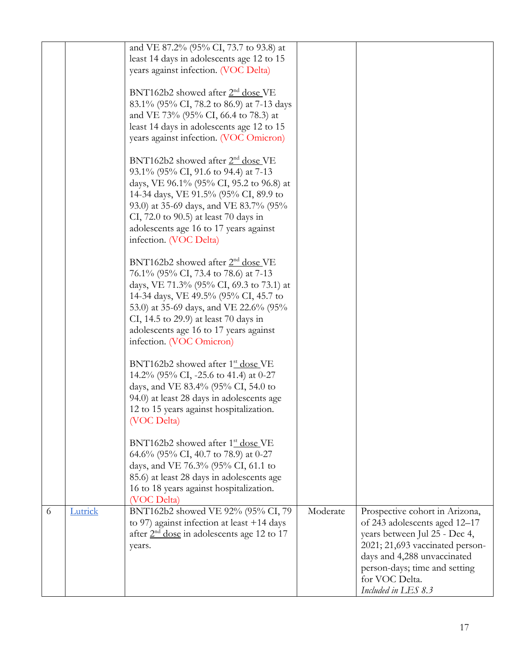|   |         | and VE 87.2% (95% CI, 73.7 to 93.8) at                                                       |          |                                                                |
|---|---------|----------------------------------------------------------------------------------------------|----------|----------------------------------------------------------------|
|   |         | least 14 days in adolescents age 12 to 15<br>years against infection. (VOC Delta)            |          |                                                                |
|   |         |                                                                                              |          |                                                                |
|   |         | BNT162b2 showed after 2 <sup>nd</sup> dose VE                                                |          |                                                                |
|   |         | 83.1% (95% CI, 78.2 to 86.9) at 7-13 days                                                    |          |                                                                |
|   |         | and VE 73% (95% CI, 66.4 to 78.3) at                                                         |          |                                                                |
|   |         | least 14 days in adolescents age 12 to 15<br>years against infection. (VOC Omicron)          |          |                                                                |
|   |         |                                                                                              |          |                                                                |
|   |         | BNT162b2 showed after 2 <sup>nd</sup> dose VE                                                |          |                                                                |
|   |         | 93.1% (95% CI, 91.6 to 94.4) at 7-13                                                         |          |                                                                |
|   |         | days, VE 96.1% (95% CI, 95.2 to 96.8) at<br>14-34 days, VE 91.5% (95% CI, 89.9 to            |          |                                                                |
|   |         | 93.0) at 35-69 days, and VE 83.7% (95%                                                       |          |                                                                |
|   |         | CI, 72.0 to 90.5) at least 70 days in                                                        |          |                                                                |
|   |         | adolescents age 16 to 17 years against                                                       |          |                                                                |
|   |         | infection. (VOC Delta)                                                                       |          |                                                                |
|   |         | $BNT162b2$ showed after $2nd$ dose VE                                                        |          |                                                                |
|   |         | 76.1% (95% CI, 73.4 to 78.6) at 7-13                                                         |          |                                                                |
|   |         | days, VE 71.3% (95% CI, 69.3 to 73.1) at                                                     |          |                                                                |
|   |         | 14-34 days, VE 49.5% (95% CI, 45.7 to                                                        |          |                                                                |
|   |         | 53.0) at 35-69 days, and VE 22.6% (95%<br>CI, 14.5 to 29.9) at least 70 days in              |          |                                                                |
|   |         | adolescents age 16 to 17 years against                                                       |          |                                                                |
|   |         | infection. (VOC Omicron)                                                                     |          |                                                                |
|   |         | BNT162b2 showed after 1 <sup>st</sup> dose VE                                                |          |                                                                |
|   |         | 14.2% (95% CI, -25.6 to 41.4) at 0-27                                                        |          |                                                                |
|   |         | days, and VE 83.4% (95% CI, 54.0 to                                                          |          |                                                                |
|   |         | 94.0) at least 28 days in adolescents age                                                    |          |                                                                |
|   |         | 12 to 15 years against hospitalization.<br>(VOC Delta)                                       |          |                                                                |
|   |         |                                                                                              |          |                                                                |
|   |         | BNT162b2 showed after 1 <sup>st</sup> dose VE                                                |          |                                                                |
|   |         | 64.6% (95% CI, 40.7 to 78.9) at 0-27                                                         |          |                                                                |
|   |         | days, and VE 76.3% (95% CI, 61.1 to<br>85.6) at least 28 days in adolescents age             |          |                                                                |
|   |         | 16 to 18 years against hospitalization.                                                      |          |                                                                |
|   |         | (VOC Delta)                                                                                  |          |                                                                |
| 6 | Lutrick | BNT162b2 showed VE 92% (95% CI, 79)                                                          | Moderate | Prospective cohort in Arizona,                                 |
|   |         | to 97) against infection at least $+14$ days<br>after $2nd$ dose in adolescents age 12 to 17 |          | of 243 adolescents aged 12-17<br>years between Jul 25 - Dec 4, |
|   |         | years.                                                                                       |          | 2021; 21,693 vaccinated person-                                |
|   |         |                                                                                              |          | days and 4,288 unvaccinated                                    |
|   |         |                                                                                              |          | person-days; time and setting                                  |
|   |         |                                                                                              |          | for VOC Delta.<br>Included in LES 8.3                          |
|   |         |                                                                                              |          |                                                                |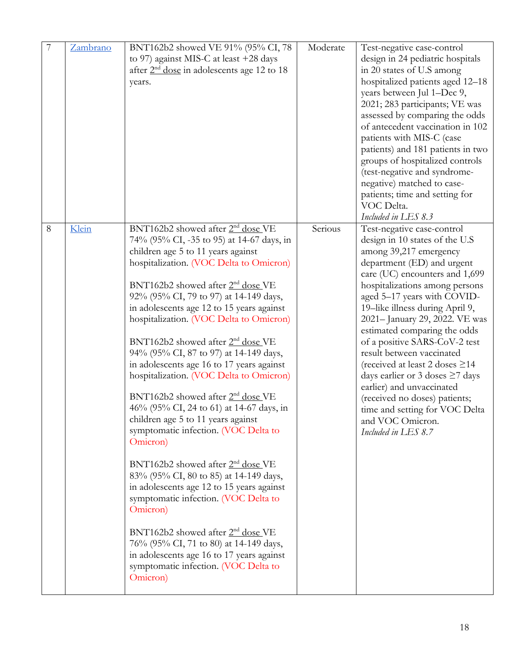| 7 | Zambrano | BNT162b2 showed VE 91% (95% CI, 78<br>to 97) against MIS-C at least +28 days<br>after $2nd$ dose in adolescents age 12 to 18<br>years.                                                                                                                                                                                                                                                                                                                                                                                                                                                                                                                                                                                                                                                                                                                                                                                                                                                                                                                                                                                           | Moderate | Test-negative case-control<br>design in 24 pediatric hospitals<br>in 20 states of U.S among<br>hospitalized patients aged 12-18<br>years between Jul 1-Dec 9,<br>2021; 283 participants; VE was<br>assessed by comparing the odds<br>of antecedent vaccination in 102<br>patients with MIS-C (case<br>patients) and 181 patients in two<br>groups of hospitalized controls<br>(test-negative and syndrome-<br>negative) matched to case-<br>patients; time and setting for<br>VOC Delta.<br>Included in LES 8.3                                                                                                       |
|---|----------|----------------------------------------------------------------------------------------------------------------------------------------------------------------------------------------------------------------------------------------------------------------------------------------------------------------------------------------------------------------------------------------------------------------------------------------------------------------------------------------------------------------------------------------------------------------------------------------------------------------------------------------------------------------------------------------------------------------------------------------------------------------------------------------------------------------------------------------------------------------------------------------------------------------------------------------------------------------------------------------------------------------------------------------------------------------------------------------------------------------------------------|----------|-----------------------------------------------------------------------------------------------------------------------------------------------------------------------------------------------------------------------------------------------------------------------------------------------------------------------------------------------------------------------------------------------------------------------------------------------------------------------------------------------------------------------------------------------------------------------------------------------------------------------|
| 8 | Klein    | BNT162b2 showed after 2 <sup>nd</sup> dose VE<br>74% (95% CI, -35 to 95) at 14-67 days, in<br>children age 5 to 11 years against<br>hospitalization. (VOC Delta to Omicron)<br>BNT162b2 showed after 2 <sup>nd</sup> dose VE<br>92% (95% CI, 79 to 97) at 14-149 days,<br>in adolescents age 12 to 15 years against<br>hospitalization. (VOC Delta to Omicron)<br>BNT162b2 showed after 2 <sup>nd</sup> dose VE<br>94% (95% CI, 87 to 97) at 14-149 days,<br>in adolescents age 16 to 17 years against<br>hospitalization. (VOC Delta to Omicron)<br>BNT162b2 showed after 2 <sup>nd</sup> dose VE<br>46% (95% CI, 24 to 61) at 14-67 days, in<br>children age 5 to 11 years against<br>symptomatic infection. (VOC Delta to<br>Omicron)<br>BNT162b2 showed after 2 <sup>nd</sup> dose VE<br>83% (95% CI, 80 to 85) at 14-149 days,<br>in adolescents age 12 to 15 years against<br>symptomatic infection. (VOC Delta to<br>Omicron)<br>BNT162b2 showed after 2 <sup>nd</sup> dose VE<br>76% (95% CI, 71 to 80) at 14-149 days,<br>in adolescents age 16 to 17 years against<br>symptomatic infection. (VOC Delta to<br>Omicron) | Serious  | Test-negative case-control<br>design in 10 states of the U.S<br>among 39,217 emergency<br>department (ED) and urgent<br>care (UC) encounters and 1,699<br>hospitalizations among persons<br>aged 5-17 years with COVID-<br>19-like illness during April 9,<br>2021-January 29, 2022. VE was<br>estimated comparing the odds<br>of a positive SARS-CoV-2 test<br>result between vaccinated<br>(received at least 2 doses $\geq$ 14<br>days earlier or 3 doses $\geq$ 7 days<br>earlier) and unvaccinated<br>(received no doses) patients;<br>time and setting for VOC Delta<br>and VOC Omicron.<br>Included in LES 8.7 |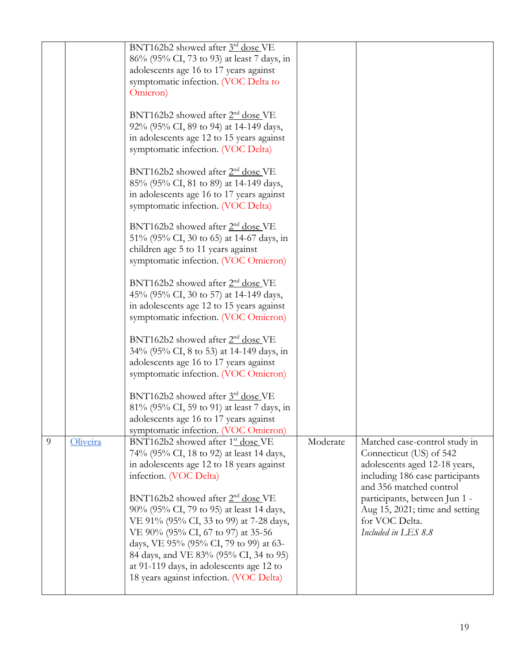|   |          | BNT162b2 showed after 3rd dose VE<br>86% (95% CI, 73 to 93) at least 7 days, in<br>adolescents age 16 to 17 years against<br>symptomatic infection. (VOC Delta to<br>Omicron)<br>BNT162b2 showed after 2 <sup>nd</sup> dose VE<br>92% (95% CI, 89 to 94) at 14-149 days,<br>in adolescents age 12 to 15 years against<br>symptomatic infection. (VOC Delta)                                                                                                                    |          |                                                                                                                                                                                                                                                                     |
|---|----------|--------------------------------------------------------------------------------------------------------------------------------------------------------------------------------------------------------------------------------------------------------------------------------------------------------------------------------------------------------------------------------------------------------------------------------------------------------------------------------|----------|---------------------------------------------------------------------------------------------------------------------------------------------------------------------------------------------------------------------------------------------------------------------|
|   |          | BNT162b2 showed after 2 <sup>nd</sup> dose VE<br>85% (95% CI, 81 to 89) at 14-149 days,<br>in adolescents age 16 to 17 years against<br>symptomatic infection. (VOC Delta)                                                                                                                                                                                                                                                                                                     |          |                                                                                                                                                                                                                                                                     |
|   |          | BNT162b2 showed after 2 <sup>nd</sup> dose VE<br>51% (95% CI, 30 to 65) at 14-67 days, in<br>children age 5 to 11 years against<br>symptomatic infection. (VOC Omicron)                                                                                                                                                                                                                                                                                                        |          |                                                                                                                                                                                                                                                                     |
|   |          | BNT162b2 showed after 2 <sup>nd</sup> dose VE<br>45% (95% CI, 30 to 57) at 14-149 days,<br>in adolescents age 12 to 15 years against<br>symptomatic infection. (VOC Omicron)                                                                                                                                                                                                                                                                                                   |          |                                                                                                                                                                                                                                                                     |
|   |          | BNT162b2 showed after 2 <sup>nd</sup> dose VE<br>34% (95% CI, 8 to 53) at 14-149 days, in<br>adolescents age 16 to 17 years against<br>symptomatic infection. (VOC Omicron)                                                                                                                                                                                                                                                                                                    |          |                                                                                                                                                                                                                                                                     |
|   |          | BNT162b2 showed after 3rd dose VE<br>81% (95% CI, 59 to 91) at least 7 days, in<br>adolescents age 16 to 17 years against<br>symptomatic infection. (VOC Omicron)                                                                                                                                                                                                                                                                                                              |          |                                                                                                                                                                                                                                                                     |
| 9 | Oliveira | BNT162b2 showed after 1 <sup>st</sup> dose VE<br>74% (95% CI, 18 to 92) at least 14 days,<br>in adolescents age 12 to 18 years against<br>infection. (VOC Delta)<br>BNT162b2 showed after 2 <sup>nd</sup> dose VE<br>90% (95% CI, 79 to 95) at least 14 days,<br>VE 91% (95% CI, 33 to 99) at 7-28 days,<br>VE 90% (95% CI, 67 to 97) at 35-56<br>days, VE 95% (95% CI, 79 to 99) at 63-<br>84 days, and VE 83% (95% CI, 34 to 95)<br>at 91-119 days, in adolescents age 12 to | Moderate | Matched case-control study in<br>Connecticut (US) of 542<br>adolescents aged 12-18 years,<br>including 186 case participants<br>and 356 matched control<br>participants, between Jun 1 -<br>Aug 15, 2021; time and setting<br>for VOC Delta.<br>Included in LES 8.8 |
|   |          | 18 years against infection. (VOC Delta)                                                                                                                                                                                                                                                                                                                                                                                                                                        |          |                                                                                                                                                                                                                                                                     |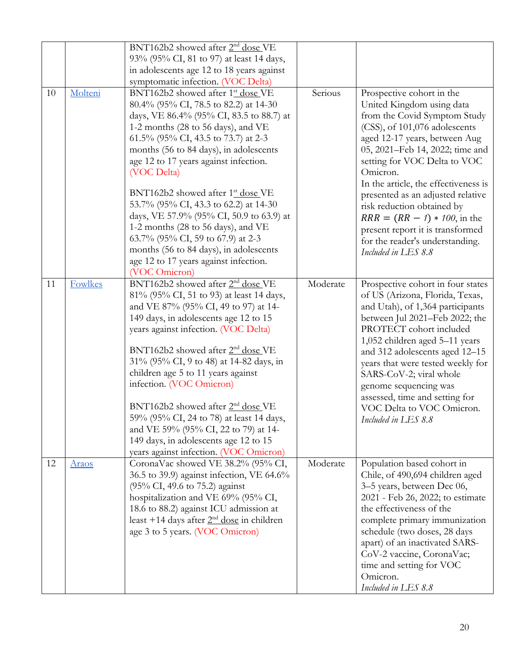|    |              | BNT162b2 showed after 2 <sup>nd</sup> dose VE |          |                                                  |
|----|--------------|-----------------------------------------------|----------|--------------------------------------------------|
|    |              | 93% (95% CI, 81 to 97) at least 14 days,      |          |                                                  |
|    |              | in adolescents age 12 to 18 years against     |          |                                                  |
|    |              | symptomatic infection. (VOC Delta)            |          |                                                  |
| 10 | Molteni      | BNT162b2 showed after 1 <sup>st</sup> dose VE | Serious  | Prospective cohort in the                        |
|    |              | 80.4% (95% CI, 78.5 to 82.2) at 14-30         |          | United Kingdom using data                        |
|    |              | days, VE 86.4% (95% CI, 83.5 to 88.7) at      |          | from the Covid Symptom Study                     |
|    |              | 1-2 months (28 to 56 days), and VE            |          | (CSS), of 101,076 adolescents                    |
|    |              | 61.5% (95% CI, 43.5 to 73.7) at 2-3           |          | aged 12-17 years, between Aug                    |
|    |              | months (56 to 84 days), in adolescents        |          | 05, 2021–Feb 14, 2022; time and                  |
|    |              | age 12 to 17 years against infection.         |          | setting for VOC Delta to VOC                     |
|    |              | (VOC Delta)                                   |          | Omicron.                                         |
|    |              |                                               |          | In the article, the effectiveness is             |
|    |              | BNT162b2 showed after 1 <sup>st</sup> dose VE |          | presented as an adjusted relative                |
|    |              | 53.7% (95% CI, 43.3 to 62.2) at 14-30         |          | risk reduction obtained by                       |
|    |              | days, VE 57.9% (95% CI, 50.9 to 63.9) at      |          | $RRR = (RR - 1) * 100$ , in the                  |
|    |              | 1-2 months (28 to 56 days), and VE            |          | present report it is transformed                 |
|    |              | 63.7% (95% CI, 59 to 67.9) at 2-3             |          | for the reader's understanding.                  |
|    |              | months (56 to 84 days), in adolescents        |          | Included in LES 8.8                              |
|    |              | age 12 to 17 years against infection.         |          |                                                  |
|    |              | (VOC Omicron)                                 |          |                                                  |
| 11 | Fowlkes      | BNT162b2 showed after 2 <sup>nd</sup> dose VE | Moderate | Prospective cohort in four states                |
|    |              | 81% (95% CI, 51 to 93) at least 14 days,      |          | of US (Arizona, Florida, Texas,                  |
|    |              | and VE 87% (95% CI, 49 to 97) at 14-          |          | and Utah), of 1,364 participants                 |
|    |              | 149 days, in adolescents age 12 to 15         |          | between Jul 2021-Feb 2022; the                   |
|    |              | years against infection. (VOC Delta)          |          | PROTECT cohort included                          |
|    |              | BNT162b2 showed after 2 <sup>nd</sup> dose VE |          | 1,052 children aged 5-11 years                   |
|    |              | 31% (95% CI, 9 to 48) at 14-82 days, in       |          | and 312 adolescents aged 12-15                   |
|    |              | children age 5 to 11 years against            |          | years that were tested weekly for                |
|    |              | infection. (VOC Omicron)                      |          | SARS-CoV-2; viral whole<br>genome sequencing was |
|    |              |                                               |          | assessed, time and setting for                   |
|    |              | BNT162b2 showed after 2 <sup>nd</sup> dose VE |          | VOC Delta to VOC Omicron.                        |
|    |              | 59% (95% CI, 24 to 78) at least 14 days,      |          | Included in LES 8.8                              |
|    |              | and VE 59% (95% CI, 22 to 79) at 14-          |          |                                                  |
|    |              | 149 days, in adolescents age 12 to 15         |          |                                                  |
|    |              | years against infection. (VOC Omicron)        |          |                                                  |
| 12 | <u>Araos</u> | CoronaVac showed VE 38.2% (95% CI,            | Moderate | Population based cohort in                       |
|    |              | 36.5 to 39.9) against infection, VE 64.6%     |          | Chile, of 490,694 children aged                  |
|    |              | (95% CI, 49.6 to 75.2) against                |          | 3-5 years, between Dec 06,                       |
|    |              | hospitalization and VE 69% (95% CI,           |          | 2021 - Feb 26, 2022; to estimate                 |
|    |              | 18.6 to 88.2) against ICU admission at        |          | the effectiveness of the                         |
|    |              | least +14 days after $2nd$ dose in children   |          | complete primary immunization                    |
|    |              | age 3 to 5 years. (VOC Omicron)               |          | schedule (two doses, 28 days                     |
|    |              |                                               |          | apart) of an inactivated SARS-                   |
|    |              |                                               |          | CoV-2 vaccine, CoronaVac;                        |
|    |              |                                               |          | time and setting for VOC                         |
|    |              |                                               |          | Omicron.                                         |
|    |              |                                               |          | Included in LES 8.8                              |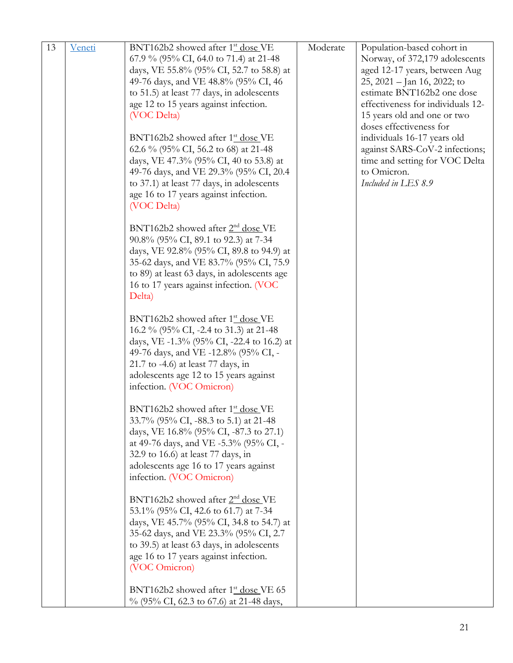| 13 | <u>Veneti</u> | BNT162b2 showed after 1 <sup>st</sup> dose VE                                    | Moderate | Population-based cohort in        |
|----|---------------|----------------------------------------------------------------------------------|----------|-----------------------------------|
|    |               | 67.9 % (95% CI, 64.0 to 71.4) at 21-48                                           |          | Norway, of 372,179 adolescents    |
|    |               | days, VE 55.8% (95% CI, 52.7 to 58.8) at                                         |          | aged 12-17 years, between Aug     |
|    |               | 49-76 days, and VE 48.8% (95% CI, 46                                             |          | 25, 2021 – Jan 16, 2022; to       |
|    |               | to 51.5) at least 77 days, in adolescents                                        |          | estimate BNT162b2 one dose        |
|    |               | age 12 to 15 years against infection.                                            |          | effectiveness for individuals 12- |
|    |               | (VOC Delta)                                                                      |          | 15 years old and one or two       |
|    |               |                                                                                  |          | doses effectiveness for           |
|    |               | BNT162b2 showed after 1 <sup>st</sup> dose VE                                    |          | individuals 16-17 years old       |
|    |               | 62.6 % (95% CI, 56.2 to 68) at 21-48                                             |          | against SARS-CoV-2 infections;    |
|    |               | days, VE 47.3% (95% CI, 40 to 53.8) at                                           |          | time and setting for VOC Delta    |
|    |               | 49-76 days, and VE 29.3% (95% CI, 20.4                                           |          | to Omicron.                       |
|    |               | to 37.1) at least 77 days, in adolescents                                        |          | Included in LES 8.9               |
|    |               | age 16 to 17 years against infection.                                            |          |                                   |
|    |               | (VOC Delta)                                                                      |          |                                   |
|    |               |                                                                                  |          |                                   |
|    |               | BNT162b2 showed after 2 <sup>nd</sup> dose VE                                    |          |                                   |
|    |               | 90.8% (95% CI, 89.1 to 92.3) at 7-34                                             |          |                                   |
|    |               | days, VE 92.8% (95% CI, 89.8 to 94.9) at                                         |          |                                   |
|    |               | 35-62 days, and VE 83.7% (95% CI, 75.9)                                          |          |                                   |
|    |               | to 89) at least 63 days, in adolescents age                                      |          |                                   |
|    |               | 16 to 17 years against infection. (VOC                                           |          |                                   |
|    |               | Delta)                                                                           |          |                                   |
|    |               |                                                                                  |          |                                   |
|    |               | BNT162b2 showed after 1 <sup>st</sup> dose VE                                    |          |                                   |
|    |               | 16.2 % (95% CI, -2.4 to 31.3) at 21-48                                           |          |                                   |
|    |               | days, VE -1.3% (95% CI, -22.4 to 16.2) at                                        |          |                                   |
|    |               | 49-76 days, and VE -12.8% (95% CI, -                                             |          |                                   |
|    |               | $21.7$ to -4.6) at least 77 days, in                                             |          |                                   |
|    |               | adolescents age 12 to 15 years against                                           |          |                                   |
|    |               | infection. (VOC Omicron)                                                         |          |                                   |
|    |               |                                                                                  |          |                                   |
|    |               | BNT162b2 showed after 1 <sup>st</sup> dose VE                                    |          |                                   |
|    |               | 33.7% (95% CI, -88.3 to 5.1) at 21-48                                            |          |                                   |
|    |               | days, VE 16.8% (95% CI, -87.3 to 27.1)<br>at 49-76 days, and VE -5.3% (95% CI, - |          |                                   |
|    |               |                                                                                  |          |                                   |
|    |               | 32.9 to 16.6) at least 77 days, in                                               |          |                                   |
|    |               | adolescents age 16 to 17 years against                                           |          |                                   |
|    |               | infection. (VOC Omicron)                                                         |          |                                   |
|    |               | BNT162b2 showed after 2 <sup>nd</sup> dose VE                                    |          |                                   |
|    |               | 53.1% (95% CI, 42.6 to 61.7) at 7-34                                             |          |                                   |
|    |               | days, VE 45.7% (95% CI, 34.8 to 54.7) at                                         |          |                                   |
|    |               | 35-62 days, and VE 23.3% (95% CI, 2.7)                                           |          |                                   |
|    |               | to 39.5) at least 63 days, in adolescents                                        |          |                                   |
|    |               | age 16 to 17 years against infection.                                            |          |                                   |
|    |               | (VOC Omicron)                                                                    |          |                                   |
|    |               |                                                                                  |          |                                   |
|    |               | BNT162b2 showed after 1 <sup>st</sup> dose VE 65                                 |          |                                   |
|    |               | % (95% CI, 62.3 to 67.6) at 21-48 days,                                          |          |                                   |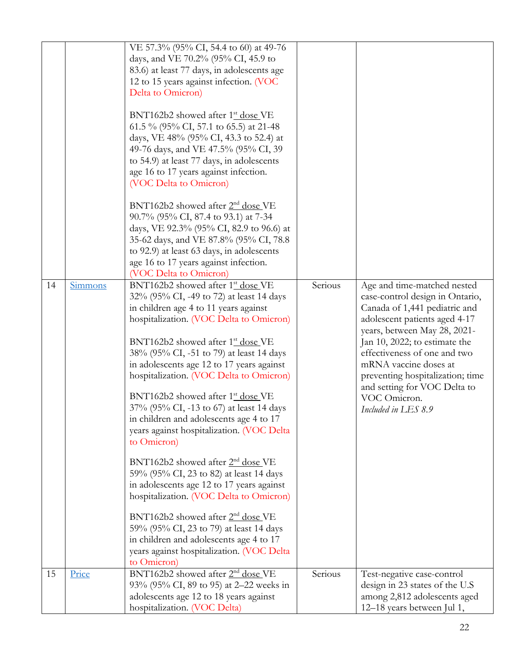| 14 | Simmons | VE 57.3% (95% CI, 54.4 to 60) at 49-76<br>days, and VE 70.2% (95% CI, 45.9 to<br>83.6) at least 77 days, in adolescents age<br>12 to 15 years against infection. (VOC<br>Delta to Omicron)<br>BNT162b2 showed after 1 <sup>st</sup> dose VE<br>61.5 % (95% CI, 57.1 to 65.5) at 21-48<br>days, VE 48% (95% CI, 43.3 to 52.4) at<br>49-76 days, and VE 47.5% (95% CI, 39<br>to 54.9) at least 77 days, in adolescents<br>age 16 to 17 years against infection.<br>(VOC Delta to Omicron)<br>BNT162b2 showed after 2 <sup>nd</sup> dose VE<br>90.7% (95% CI, 87.4 to 93.1) at 7-34<br>days, VE 92.3% (95% CI, 82.9 to 96.6) at<br>35-62 days, and VE 87.8% (95% CI, 78.8)<br>to 92.9) at least 63 days, in adolescents<br>age 16 to 17 years against infection.<br>(VOC Delta to Omicron)<br>BNT162b2 showed after 1 <sup>st</sup> dose VE<br>32% (95% CI, -49 to 72) at least 14 days<br>in children age 4 to 11 years against<br>hospitalization. (VOC Delta to Omicron)<br>BNT162b2 showed after 1 <sup>st</sup> dose VE<br>38% (95% CI, -51 to 79) at least 14 days<br>in adolescents age 12 to 17 years against<br>hospitalization. (VOC Delta to Omicron)<br>BNT162b2 showed after 1 <sup>st</sup> dose VE<br>37% (95% CI, -13 to 67) at least 14 days<br>in children and adolescents age 4 to 17<br>years against hospitalization. (VOC Delta<br>to Omicron) | Serious | Age and time-matched nested<br>case-control design in Ontario,<br>Canada of 1,441 pediatric and<br>adolescent patients aged 4-17<br>years, between May 28, 2021-<br>Jan 10, 2022; to estimate the<br>effectiveness of one and two<br>mRNA vaccine doses at<br>preventing hospitalization; time<br>and setting for VOC Delta to<br>VOC Omicron.<br>Included in LES 8.9 |
|----|---------|-------------------------------------------------------------------------------------------------------------------------------------------------------------------------------------------------------------------------------------------------------------------------------------------------------------------------------------------------------------------------------------------------------------------------------------------------------------------------------------------------------------------------------------------------------------------------------------------------------------------------------------------------------------------------------------------------------------------------------------------------------------------------------------------------------------------------------------------------------------------------------------------------------------------------------------------------------------------------------------------------------------------------------------------------------------------------------------------------------------------------------------------------------------------------------------------------------------------------------------------------------------------------------------------------------------------------------------------------------------------|---------|-----------------------------------------------------------------------------------------------------------------------------------------------------------------------------------------------------------------------------------------------------------------------------------------------------------------------------------------------------------------------|
|    |         | BNT162b2 showed after $2nd$ dose VE<br>59% (95% CI, 23 to 82) at least 14 days<br>in adolescents age 12 to 17 years against<br>hospitalization. (VOC Delta to Omicron)                                                                                                                                                                                                                                                                                                                                                                                                                                                                                                                                                                                                                                                                                                                                                                                                                                                                                                                                                                                                                                                                                                                                                                                            |         |                                                                                                                                                                                                                                                                                                                                                                       |
|    |         | BNT162b2 showed after 2 <sup>nd</sup> dose VE<br>59% (95% CI, 23 to 79) at least 14 days<br>in children and adolescents age 4 to 17<br>years against hospitalization. (VOC Delta<br>to Omicron)                                                                                                                                                                                                                                                                                                                                                                                                                                                                                                                                                                                                                                                                                                                                                                                                                                                                                                                                                                                                                                                                                                                                                                   |         |                                                                                                                                                                                                                                                                                                                                                                       |
| 15 | Price   | BNT162b2 showed after 2 <sup>nd</sup> dose VE<br>93% (95% CI, 89 to 95) at 2–22 weeks in<br>adolescents age 12 to 18 years against<br>hospitalization. (VOC Delta)                                                                                                                                                                                                                                                                                                                                                                                                                                                                                                                                                                                                                                                                                                                                                                                                                                                                                                                                                                                                                                                                                                                                                                                                | Serious | Test-negative case-control<br>design in 23 states of the U.S<br>among 2,812 adolescents aged<br>12–18 years between Jul 1,                                                                                                                                                                                                                                            |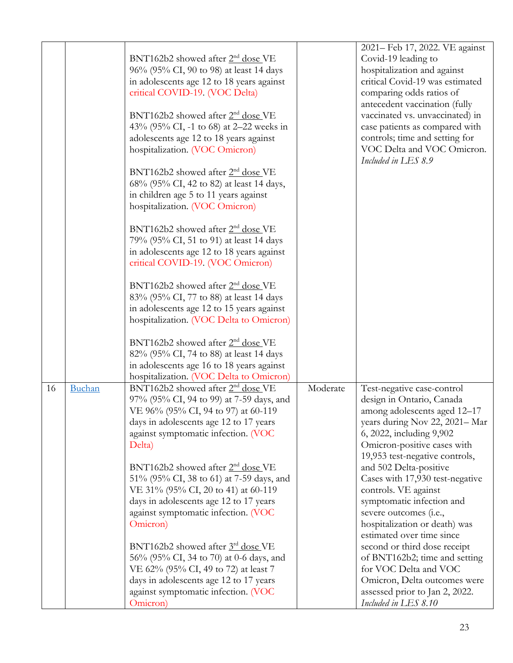|    |        |                                                 |          | 2021 - Feb 17, 2022. VE against                         |
|----|--------|-------------------------------------------------|----------|---------------------------------------------------------|
|    |        | BNT162b2 showed after 2 <sup>nd</sup> dose VE   |          | Covid-19 leading to                                     |
|    |        | 96% (95% CI, 90 to 98) at least 14 days         |          | hospitalization and against                             |
|    |        | in adolescents age 12 to 18 years against       |          | critical Covid-19 was estimated                         |
|    |        | critical COVID-19. (VOC Delta)                  |          | comparing odds ratios of                                |
|    |        |                                                 |          | antecedent vaccination (fully                           |
|    |        | BNT162b2 showed after 2 <sup>nd</sup> dose VE   |          | vaccinated vs. unvaccinated) in                         |
|    |        | 43% (95% CI, -1 to 68) at 2–22 weeks in         |          | case patients as compared with                          |
|    |        | adolescents age 12 to 18 years against          |          | controls; time and setting for                          |
|    |        | hospitalization. (VOC Omicron)                  |          | VOC Delta and VOC Omicron.<br>Included in LES 8.9       |
|    |        | BNT162b2 showed after 2 <sup>nd</sup> dose VE   |          |                                                         |
|    |        | 68% (95% CI, 42 to 82) at least 14 days,        |          |                                                         |
|    |        | in children age 5 to 11 years against           |          |                                                         |
|    |        | hospitalization. (VOC Omicron)                  |          |                                                         |
|    |        |                                                 |          |                                                         |
|    |        | BNT162b2 showed after 2 <sup>nd</sup> dose VE   |          |                                                         |
|    |        | 79% (95% CI, 51 to 91) at least 14 days         |          |                                                         |
|    |        | in adolescents age 12 to 18 years against       |          |                                                         |
|    |        | critical COVID-19. (VOC Omicron)                |          |                                                         |
|    |        | BNT162b2 showed after $2nd$ dose VE             |          |                                                         |
|    |        | 83% (95% CI, 77 to 88) at least 14 days         |          |                                                         |
|    |        | in adolescents age 12 to 15 years against       |          |                                                         |
|    |        | hospitalization. (VOC Delta to Omicron)         |          |                                                         |
|    |        |                                                 |          |                                                         |
|    |        | BNT162b2 showed after 2 <sup>nd</sup> dose VE   |          |                                                         |
|    |        | 82% (95% CI, 74 to 88) at least 14 days         |          |                                                         |
|    |        | in adolescents age 16 to 18 years against       |          |                                                         |
|    |        | hospitalization. (VOC Delta to Omicron)         |          |                                                         |
| 16 | Buchan | BNT162b2 showed after 2 <sup>nd</sup> dose VE   | Moderate | Test-negative case-control                              |
|    |        | 97% (95% CI, 94 to 99) at 7-59 days, and        |          | design in Ontario, Canada                               |
|    |        | VE 96% (95% CI, 94 to 97) at 60-119             |          | among adolescents aged 12-17                            |
|    |        | days in adolescents age 12 to 17 years          |          | years during Nov 22, 2021-Mar                           |
|    |        | against symptomatic infection. (VOC             |          | 6, 2022, including 9,902                                |
|    |        | Delta)                                          |          | Omicron-positive cases with                             |
|    |        |                                                 |          | 19,953 test-negative controls,                          |
|    |        | $BNT162b2$ showed after $2nd$ dose VE           |          | and 502 Delta-positive                                  |
|    |        | 51% (95% CI, 38 to 61) at 7-59 days, and        |          | Cases with 17,930 test-negative                         |
|    |        | VE 31% (95% CI, 20 to 41) at 60-119             |          | controls. VE against                                    |
|    |        | days in adolescents age 12 to 17 years          |          | symptomatic infection and                               |
|    |        | against symptomatic infection. (VOC<br>Omicron) |          | severe outcomes (i.e.,<br>hospitalization or death) was |
|    |        |                                                 |          | estimated over time since                               |
|    |        | BNT162b2 showed after 3rd dose VE               |          | second or third dose receipt                            |
|    |        | 56% (95% CI, 34 to 70) at 0-6 days, and         |          | of BNT162b2; time and setting                           |
|    |        | VE 62% (95% CI, 49 to 72) at least 7            |          | for VOC Delta and VOC                                   |
|    |        | days in adolescents age 12 to 17 years          |          | Omicron, Delta outcomes were                            |
|    |        | against symptomatic infection. (VOC             |          | assessed prior to Jan 2, 2022.                          |
|    |        | Omicron)                                        |          | Included in LES 8.10                                    |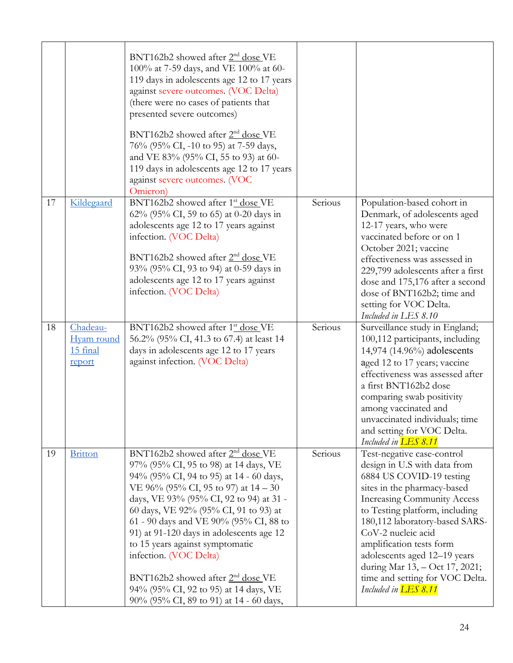|    |                                              | BNT162b2 showed after 2 <sup>nd</sup> dose VE<br>100% at 7-59 days, and VE 100% at 60-<br>119 days in adolescents age 12 to 17 years<br>against severe outcomes. (VOC Delta)<br>(there were no cases of patients that<br>presented severe outcomes)<br>$BNT162b2$ showed after $2nd$ dose VE<br>76% (95% CI, -10 to 95) at 7-59 days,<br>and VE 83% (95% CI, 55 to 93) at 60-<br>119 days in adolescents age 12 to 17 years<br>against severe outcomes. (VOC<br>Omicron)                                                                              |         |                                                                                                                                                                                                                                                                                                                                                                                                                       |
|----|----------------------------------------------|-------------------------------------------------------------------------------------------------------------------------------------------------------------------------------------------------------------------------------------------------------------------------------------------------------------------------------------------------------------------------------------------------------------------------------------------------------------------------------------------------------------------------------------------------------|---------|-----------------------------------------------------------------------------------------------------------------------------------------------------------------------------------------------------------------------------------------------------------------------------------------------------------------------------------------------------------------------------------------------------------------------|
| 17 | Kildegaard                                   | BNT162b2 showed after 1 <sup>st</sup> dose VE<br>62% (95% CI, 59 to 65) at 0-20 days in<br>adolescents age 12 to 17 years against<br>infection. (VOC Delta)<br>BNT162b2 showed after 2 <sup>nd</sup> dose VE<br>93% (95% CI, 93 to 94) at 0-59 days in<br>adolescents age 12 to 17 years against<br>infection. (VOC Delta)                                                                                                                                                                                                                            | Serious | Population-based cohort in<br>Denmark, of adolescents aged<br>12-17 years, who were<br>vaccinated before or on 1<br>October 2021; vaccine<br>effectiveness was assessed in<br>229,799 adolescents after a first<br>dose and 175,176 after a second<br>dose of BNT162b2; time and<br>setting for VOC Delta.<br>Included in LES 8.10                                                                                    |
| 18 | Chadeau-<br>Hyam round<br>15 final<br>report | BNT162b2 showed after 1 <sup>st</sup> dose VE<br>56.2% (95% CI, 41.3 to 67.4) at least 14<br>days in adolescents age 12 to 17 years<br>against infection. (VOC Delta)                                                                                                                                                                                                                                                                                                                                                                                 | Serious | Surveillance study in England;<br>100,112 participants, including<br>14,974 (14.96%) adolescents<br>aged 12 to 17 years; vaccine<br>effectiveness was assessed after<br>a first BNT162b2 dose<br>comparing swab positivity<br>among vaccinated and<br>unvaccinated individuals; time<br>and setting for VOC Delta.<br>Included in <b>LES 8.11</b>                                                                     |
| 19 | <b>Britton</b>                               | BNT162b2 showed after 2 <sup>nd</sup> dose VE<br>97% (95% CI, 95 to 98) at 14 days, VE<br>94% (95% CI, 94 to 95) at 14 - 60 days,<br>VE 96% (95% CI, 95 to 97) at $14-30$<br>days, VE 93% (95% CI, 92 to 94) at 31 -<br>60 days, VE 92% (95% CI, 91 to 93) at<br>61 - 90 days and VE 90% (95% CI, 88 to<br>91) at 91-120 days in adolescents age 12<br>to 15 years against symptomatic<br>infection. (VOC Delta)<br>BNT162b2 showed after 2 <sup>nd</sup> dose VE<br>94% (95% CI, 92 to 95) at 14 days, VE<br>90% (95% CI, 89 to 91) at 14 - 60 days, | Serious | Test-negative case-control<br>design in U.S with data from<br>6884 US COVID-19 testing<br>sites in the pharmacy-based<br><b>Increasing Community Access</b><br>to Testing platform, including<br>180,112 laboratory-based SARS-<br>CoV-2 nucleic acid<br>amplification tests form<br>adolescents aged 12-19 years<br>during Mar 13, - Oct 17, 2021;<br>time and setting for VOC Delta.<br>Included in <b>LES 8.11</b> |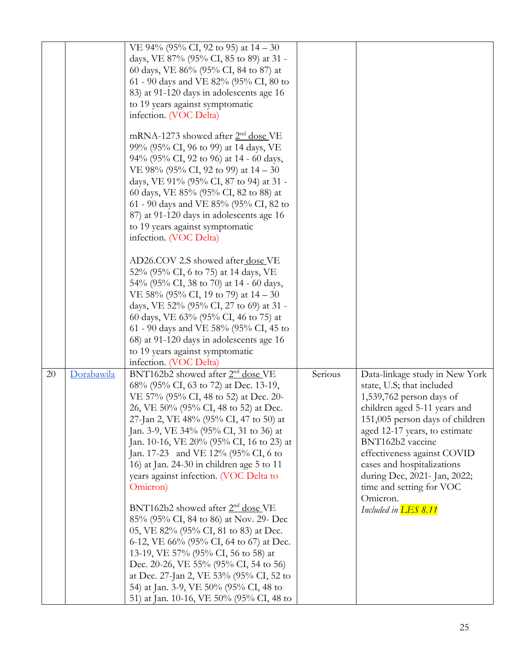|    |            | VE 94% (95% CI, 92 to 95) at $14-30$           |         |                                         |
|----|------------|------------------------------------------------|---------|-----------------------------------------|
|    |            | days, VE 87% (95% CI, 85 to 89) at 31 -        |         |                                         |
|    |            | 60 days, VE 86% (95% CI, 84 to 87) at          |         |                                         |
|    |            | 61 - 90 days and VE 82% (95% CI, 80 to         |         |                                         |
|    |            | 83) at 91-120 days in adolescents age 16       |         |                                         |
|    |            | to 19 years against symptomatic                |         |                                         |
|    |            | infection. (VOC Delta)                         |         |                                         |
|    |            |                                                |         |                                         |
|    |            | mRNA-1273 showed after 2 <sup>nd</sup> dose VE |         |                                         |
|    |            | 99% (95% CI, 96 to 99) at 14 days, VE          |         |                                         |
|    |            | 94% (95% CI, 92 to 96) at 14 - 60 days,        |         |                                         |
|    |            | VE 98% (95% CI, 92 to 99) at 14 – 30           |         |                                         |
|    |            | days, VE 91% (95% CI, 87 to 94) at 31 -        |         |                                         |
|    |            | 60 days, VE 85% (95% CI, 82 to 88) at          |         |                                         |
|    |            | 61 - 90 days and VE 85% (95% CI, 82 to         |         |                                         |
|    |            | 87) at 91-120 days in adolescents age 16       |         |                                         |
|    |            | to 19 years against symptomatic                |         |                                         |
|    |            | infection. (VOC Delta)                         |         |                                         |
|    |            | AD26.COV 2.S showed after dose VE              |         |                                         |
|    |            | 52% (95% CI, 6 to 75) at 14 days, VE           |         |                                         |
|    |            | 54% (95% CI, 38 to 70) at 14 - 60 days,        |         |                                         |
|    |            | VE 58% (95% CI, 19 to 79) at 14 – 30           |         |                                         |
|    |            | days, VE 52% (95% CI, 27 to 69) at 31 -        |         |                                         |
|    |            | 60 days, VE 63% (95% CI, 46 to 75) at          |         |                                         |
|    |            | 61 - 90 days and VE 58% (95% CI, 45 to         |         |                                         |
|    |            | 68) at 91-120 days in adolescents age 16       |         |                                         |
|    |            | to 19 years against symptomatic                |         |                                         |
|    |            | infection. (VOC Delta)                         |         |                                         |
| 20 | Dorabawila | BNT162b2 showed after 2 <sup>nd</sup> dose VE  | Serious | Data-linkage study in New York          |
|    |            | 68% (95% CI, 63 to 72) at Dec. 13-19,          |         | state, U.S; that included               |
|    |            | VE 57% (95% CI, 48 to 52) at Dec. 20-          |         | 1,539,762 person days of                |
|    |            | 26, VE 50% (95% CI, 48 to 52) at Dec.          |         | children aged 5-11 years and            |
|    |            | 27-Jan 2, VE 48% (95% CI, 47 to 50) at         |         | 151,005 person days of children         |
|    |            | Jan. 3-9, VE 34% (95% CI, 31 to 36) at         |         | aged 12-17 years, to estimate           |
|    |            | Jan. 10-16, VE 20% (95% CI, 16 to 23) at       |         | BNT162b2 vaccine                        |
|    |            | Jan. 17-23 and VE 12% (95% CI, 6 to            |         | effectiveness against COVID             |
|    |            | 16) at Jan. 24-30 in children age 5 to 11      |         | cases and hospitalizations              |
|    |            | years against infection. (VOC Delta to         |         | during Dec, 2021- Jan, 2022;            |
|    |            | Omicron)                                       |         | time and setting for VOC                |
|    |            | BNT162b2 showed after 2 <sup>nd</sup> dose VE  |         | Omicron.<br>Included in <b>LES 8.11</b> |
|    |            | 85% (95% CI, 84 to 86) at Nov. 29- Dec         |         |                                         |
|    |            | 05, VE 82% (95% CI, 81 to 83) at Dec.          |         |                                         |
|    |            | 6-12, VE 66% (95% CI, 64 to 67) at Dec.        |         |                                         |
|    |            | 13-19, VE 57% (95% CI, 56 to 58) at            |         |                                         |
|    |            | Dec. 20-26, VE 55% (95% CI, 54 to 56)          |         |                                         |
|    |            | at Dec. 27-Jan 2, VE 53% (95% CI, 52 to        |         |                                         |
|    |            | 54) at Jan. 3-9, VE 50% (95% CI, 48 to         |         |                                         |
|    |            | 51) at Jan. 10-16, VE 50% (95% CI, 48 to       |         |                                         |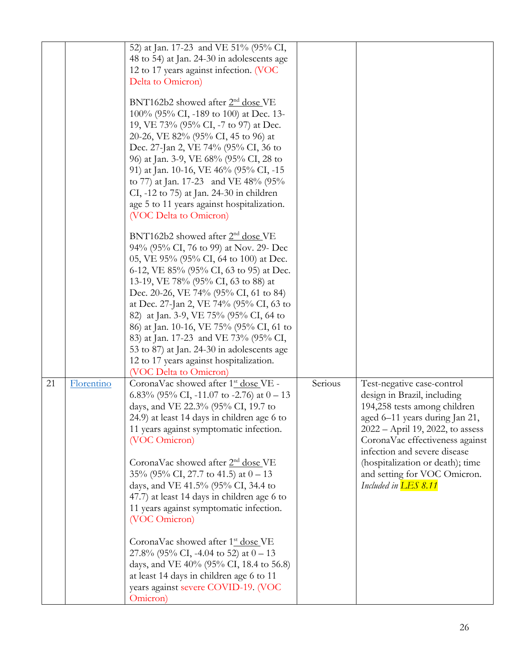|    |            | 52) at Jan. 17-23 and VE 51% (95% CI,                                              |         |                                                                  |
|----|------------|------------------------------------------------------------------------------------|---------|------------------------------------------------------------------|
|    |            | 48 to 54) at Jan. 24-30 in adolescents age                                         |         |                                                                  |
|    |            | 12 to 17 years against infection. (VOC                                             |         |                                                                  |
|    |            | Delta to Omicron)                                                                  |         |                                                                  |
|    |            |                                                                                    |         |                                                                  |
|    |            | BNT162b2 showed after 2 <sup>nd</sup> dose VE                                      |         |                                                                  |
|    |            | 100% (95% CI, -189 to 100) at Dec. 13-                                             |         |                                                                  |
|    |            | 19, VE 73% (95% CI, -7 to 97) at Dec.                                              |         |                                                                  |
|    |            | 20-26, VE 82% (95% CI, 45 to 96) at                                                |         |                                                                  |
|    |            | Dec. 27-Jan 2, VE 74% (95% CI, 36 to                                               |         |                                                                  |
|    |            | 96) at Jan. 3-9, VE 68% (95% CI, 28 to                                             |         |                                                                  |
|    |            | 91) at Jan. 10-16, VE 46% (95% CI, -15                                             |         |                                                                  |
|    |            | to 77) at Jan. 17-23 and VE 48% (95%                                               |         |                                                                  |
|    |            | CI, -12 to 75) at Jan. 24-30 in children                                           |         |                                                                  |
|    |            | age 5 to 11 years against hospitalization.                                         |         |                                                                  |
|    |            | (VOC Delta to Omicron)                                                             |         |                                                                  |
|    |            | BNT162b2 showed after 2 <sup>nd</sup> dose VE                                      |         |                                                                  |
|    |            | 94% (95% CI, 76 to 99) at Nov. 29- Dec                                             |         |                                                                  |
|    |            | 05, VE 95% (95% CI, 64 to 100) at Dec.                                             |         |                                                                  |
|    |            | 6-12, VE 85% (95% CI, 63 to 95) at Dec.                                            |         |                                                                  |
|    |            | 13-19, VE 78% (95% CI, 63 to 88) at                                                |         |                                                                  |
|    |            | Dec. 20-26, VE 74% (95% CI, 61 to 84)                                              |         |                                                                  |
|    |            | at Dec. 27-Jan 2, VE 74% (95% CI, 63 to                                            |         |                                                                  |
|    |            | 82) at Jan. 3-9, VE 75% (95% CI, 64 to<br>86) at Jan. 10-16, VE 75% (95% CI, 61 to |         |                                                                  |
|    |            | 83) at Jan. 17-23 and VE 73% (95% CI,                                              |         |                                                                  |
|    |            | 53 to 87) at Jan. 24-30 in adolescents age                                         |         |                                                                  |
|    |            | 12 to 17 years against hospitalization.                                            |         |                                                                  |
|    |            | (VOC Delta to Omicron)                                                             |         |                                                                  |
| 21 | Florentino | CoronaVac showed after 1 <sup>st</sup> dose VE -                                   | Serious | Test-negative case-control                                       |
|    |            | 6.83% (95% CI, -11.07 to -2.76) at $0-13$                                          |         | design in Brazil, including                                      |
|    |            | days, and VE 22.3% (95% CI, 19.7 to                                                |         | 194,258 tests among children                                     |
|    |            | 24.9) at least 14 days in children age 6 to                                        |         | aged 6–11 years during Jan 21,                                   |
|    |            | 11 years against symptomatic infection.                                            |         | 2022 – April 19, 2022, to assess                                 |
|    |            | (VOC Omicron)                                                                      |         | CoronaVac effectiveness against                                  |
|    |            | CoronaVac showed after 2 <sup>nd</sup> dose VE                                     |         | infection and severe disease<br>(hospitalization or death); time |
|    |            | 35% (95% CI, 27.7 to 41.5) at $0 - 13$                                             |         | and setting for VOC Omicron.                                     |
|    |            | days, and VE 41.5% (95% CI, 34.4 to                                                |         | Included in <b>LES 8.11</b>                                      |
|    |            | 47.7) at least 14 days in children age 6 to                                        |         |                                                                  |
|    |            | 11 years against symptomatic infection.                                            |         |                                                                  |
|    |            | (VOC Omicron)                                                                      |         |                                                                  |
|    |            |                                                                                    |         |                                                                  |
|    |            | CoronaVac showed after 1 <sup>st</sup> dose VE                                     |         |                                                                  |
|    |            | 27.8% (95% CI, -4.04 to 52) at $0-13$<br>days, and VE 40% (95% CI, 18.4 to 56.8)   |         |                                                                  |
|    |            | at least 14 days in children age 6 to 11                                           |         |                                                                  |
|    |            | years against severe COVID-19. (VOC                                                |         |                                                                  |
|    |            | Omicron)                                                                           |         |                                                                  |
|    |            |                                                                                    |         |                                                                  |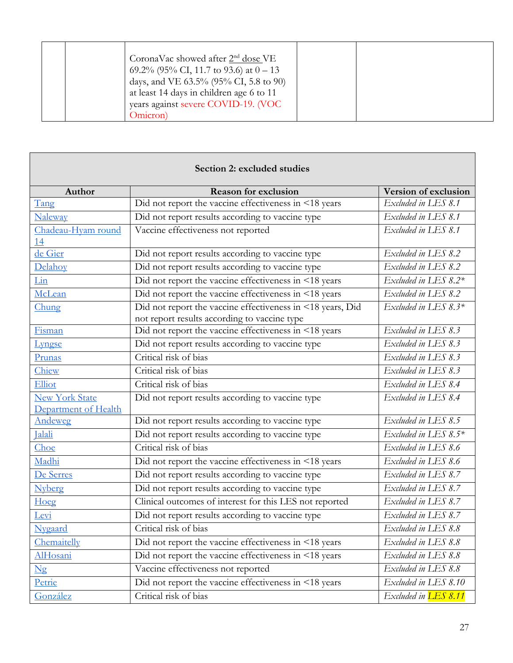|  | CoronaVac showed after $2nd$ dose VE<br>69.2% (95% CI, 11.7 to 93.6) at $0-13$<br>days, and VE 63.5% (95% CI, 5.8 to 90)<br>at least 14 days in children age 6 to 11<br>years against severe COVID-19. (VOC<br>Omicron) |  |  |  |
|--|-------------------------------------------------------------------------------------------------------------------------------------------------------------------------------------------------------------------------|--|--|--|
|--|-------------------------------------------------------------------------------------------------------------------------------------------------------------------------------------------------------------------------|--|--|--|

<span id="page-26-0"></span>Г

| Section 2: excluded studies                   |                                                                                                            |                             |  |  |  |  |
|-----------------------------------------------|------------------------------------------------------------------------------------------------------------|-----------------------------|--|--|--|--|
| Author                                        | <b>Reason for exclusion</b>                                                                                | Version of exclusion        |  |  |  |  |
| Tang                                          | Did not report the vaccine effectiveness in <18 years                                                      | Excluded in LES 8.1         |  |  |  |  |
| Naleway                                       | Did not report results according to vaccine type                                                           | Excluded in LES 8.1         |  |  |  |  |
| Chadeau-Hyam round<br>14                      | Vaccine effectiveness not reported                                                                         | Excluded in LES 8.1         |  |  |  |  |
| de Gier                                       | Did not report results according to vaccine type                                                           | Excluded in LES 8.2         |  |  |  |  |
| Delahoy                                       | Did not report results according to vaccine type                                                           | Excluded in LES 8.2         |  |  |  |  |
| Lin                                           | Did not report the vaccine effectiveness in <18 years                                                      | Excluded in LES 8.2*        |  |  |  |  |
| McLean                                        | Did not report the vaccine effectiveness in <18 years                                                      | Excluded in LES $8.2$       |  |  |  |  |
| Chung                                         | Did not report the vaccine effectiveness in <18 years, Did<br>not report results according to vaccine type | Excluded in LES 8.3*        |  |  |  |  |
| Fisman                                        | Did not report the vaccine effectiveness in <18 years                                                      | Excluded in LES 8.3         |  |  |  |  |
| Lyngse                                        | Did not report results according to vaccine type                                                           | Excluded in LES 8.3         |  |  |  |  |
| Prunas                                        | Critical risk of bias                                                                                      | Excluded in LES 8.3         |  |  |  |  |
| Chiew                                         | Critical risk of bias                                                                                      | Excluded in LES 8.3         |  |  |  |  |
| Elliot                                        | Critical risk of bias                                                                                      | Excluded in LES $8.4$       |  |  |  |  |
| <b>New York State</b><br>Department of Health | Did not report results according to vaccine type                                                           | Excluded in LES 8.4         |  |  |  |  |
| Andeweg                                       | Did not report results according to vaccine type                                                           | Excluded in LES 8.5         |  |  |  |  |
| <b>Jalali</b>                                 | Did not report results according to vaccine type                                                           | Excluded in LES 8.5*        |  |  |  |  |
| Choe                                          | Critical risk of bias                                                                                      | Excluded in LES 8.6         |  |  |  |  |
| Madhi                                         | Did not report the vaccine effectiveness in <18 years                                                      | Excluded in LES 8.6         |  |  |  |  |
| De Serres                                     | Did not report results according to vaccine type                                                           | Excluded in LES 8.7         |  |  |  |  |
| <b>Nyberg</b>                                 | Did not report results according to vaccine type                                                           | Excluded in LES 8.7         |  |  |  |  |
| Hoeg                                          | Clinical outcomes of interest for this LES not reported                                                    | Excluded in LES 8.7         |  |  |  |  |
| Levi                                          | Did not report results according to vaccine type                                                           | Excluded in LES 8.7         |  |  |  |  |
| Nygaard                                       | Critical risk of bias                                                                                      | Excluded in LES 8.8         |  |  |  |  |
| Chemaitelly                                   | Did not report the vaccine effectiveness in <18 years                                                      | Excluded in LES 8.8         |  |  |  |  |
| <b>AlHosani</b>                               | Did not report the vaccine effectiveness in <18 years                                                      | Excluded in LES 8.8         |  |  |  |  |
| $\overline{\text{Ng}}$                        | Vaccine effectiveness not reported                                                                         | Excluded in LES 8.8         |  |  |  |  |
| Petrie                                        | Did not report the vaccine effectiveness in $\leq 18$ years                                                | Excluded in LES 8.10        |  |  |  |  |
| González                                      | Critical risk of bias                                                                                      | Excluded in <b>LES 8.11</b> |  |  |  |  |

٦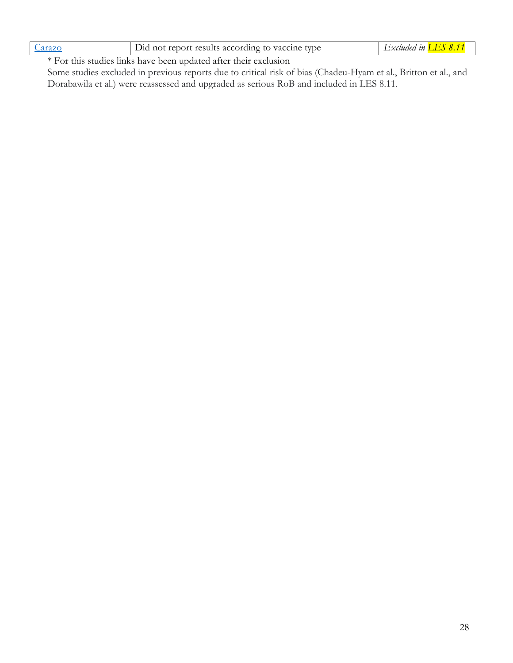| t results according-<br>Vac<br>$\mathcal{H}$<br>tvne<br>not<br>renor'<br>nne.<br>$\vert$ ( ) | $\eta$<br>. <b>.</b> |
|----------------------------------------------------------------------------------------------|----------------------|
|----------------------------------------------------------------------------------------------|----------------------|

\* For this studies links have been updated after their exclusion

Some studies excluded in previous reports due to critical risk of bias (Chadeu-Hyam et al., Britton et al., and Dorabawila et al.) were reassessed and upgraded as serious RoB and included in LES 8.11.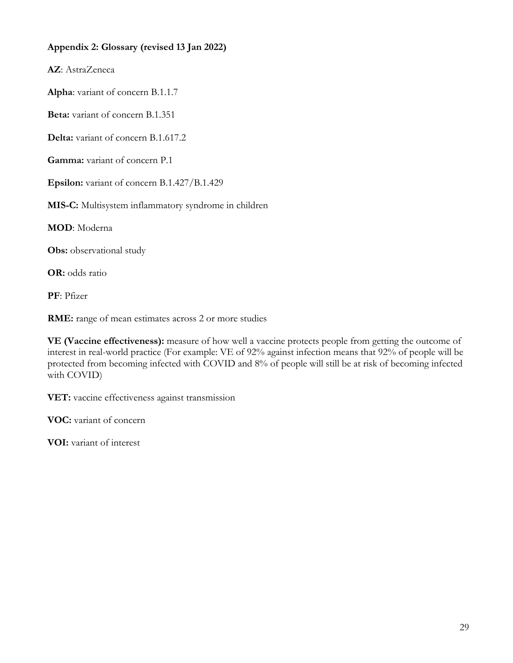# <span id="page-28-0"></span>**Appendix 2: Glossary (revised 13 Jan 2022)**

**AZ**: AstraZeneca

**Alpha**: variant of concern B.1.1.7

**Beta:** variant of concern B.1.351

**Delta:** variant of concern B.1.617.2

**Gamma:** variant of concern P.1

**Epsilon:** variant of concern B.1.427/B.1.429

**MIS-C:** Multisystem inflammatory syndrome in children

**MOD**: Moderna

**Obs:** observational study

**OR:** odds ratio

**PF**: Pfizer

**RME:** range of mean estimates across 2 or more studies

**VE (Vaccine effectiveness):** measure of how well a vaccine protects people from getting the outcome of interest in real-world practice (For example: VE of 92% against infection means that 92% of people will be protected from becoming infected with COVID and 8% of people will still be at risk of becoming infected with COVID)

**VET:** vaccine effectiveness against transmission

**VOC:** variant of concern

**VOI:** variant of interest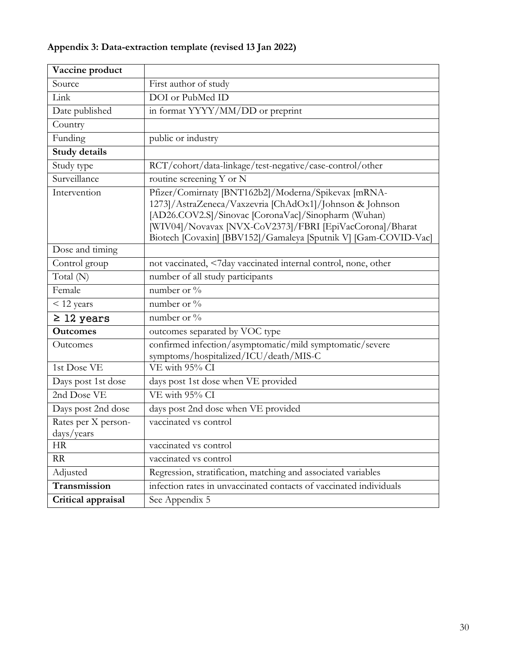# <span id="page-29-0"></span>**Appendix 3: Data-extraction template (revised 13 Jan 2022)**

<span id="page-29-1"></span>

| Vaccine product                   |                                                                                                                                                                                                                                                                                                      |
|-----------------------------------|------------------------------------------------------------------------------------------------------------------------------------------------------------------------------------------------------------------------------------------------------------------------------------------------------|
| Source                            | First author of study                                                                                                                                                                                                                                                                                |
| Link                              | DOI or PubMed ID                                                                                                                                                                                                                                                                                     |
| Date published                    | in format YYYY/MM/DD or preprint                                                                                                                                                                                                                                                                     |
| Country                           |                                                                                                                                                                                                                                                                                                      |
| Funding                           | public or industry                                                                                                                                                                                                                                                                                   |
| <b>Study details</b>              |                                                                                                                                                                                                                                                                                                      |
| Study type                        | RCT/cohort/data-linkage/test-negative/case-control/other                                                                                                                                                                                                                                             |
| Surveillance                      | routine screening Y or N                                                                                                                                                                                                                                                                             |
| Intervention                      | Pfizer/Comirnaty [BNT162b2]/Moderna/Spikevax [mRNA-<br>1273]/AstraZeneca/Vaxzevria [ChAdOx1]/Johnson & Johnson<br>[AD26.COV2.S]/Sinovac [CoronaVac]/Sinopharm (Wuhan)<br>[WIV04]/Novavax [NVX-CoV2373]/FBRI [EpiVacCorona]/Bharat<br>Biotech [Covaxin] [BBV152]/Gamaleya [Sputnik V] [Gam-COVID-Vac] |
| Dose and timing                   |                                                                                                                                                                                                                                                                                                      |
| Control group                     | not vaccinated, <7day vaccinated internal control, none, other                                                                                                                                                                                                                                       |
| Total (N)                         | number of all study participants                                                                                                                                                                                                                                                                     |
| Female                            | number or %                                                                                                                                                                                                                                                                                          |
| < 12 years                        | number or %                                                                                                                                                                                                                                                                                          |
| $\geq$ 12 years                   | number or %                                                                                                                                                                                                                                                                                          |
| <b>Outcomes</b>                   | outcomes separated by VOC type                                                                                                                                                                                                                                                                       |
| Outcomes                          | confirmed infection/asymptomatic/mild symptomatic/severe<br>symptoms/hospitalized/ICU/death/MIS-C                                                                                                                                                                                                    |
| 1st Dose VE                       | VE with 95% CI                                                                                                                                                                                                                                                                                       |
| Days post 1st dose                | days post 1st dose when VE provided                                                                                                                                                                                                                                                                  |
| 2nd Dose VE                       | VE with 95% CI                                                                                                                                                                                                                                                                                       |
| Days post 2nd dose                | days post 2nd dose when VE provided                                                                                                                                                                                                                                                                  |
| Rates per X person-<br>days/years | vaccinated vs control                                                                                                                                                                                                                                                                                |
| <b>HR</b>                         | vaccinated vs control                                                                                                                                                                                                                                                                                |
| RR                                | vaccinated vs control                                                                                                                                                                                                                                                                                |
| Adjusted                          | Regression, stratification, matching and associated variables                                                                                                                                                                                                                                        |
| Transmission                      | infection rates in unvaccinated contacts of vaccinated individuals                                                                                                                                                                                                                                   |
| Critical appraisal                | See Appendix 5                                                                                                                                                                                                                                                                                       |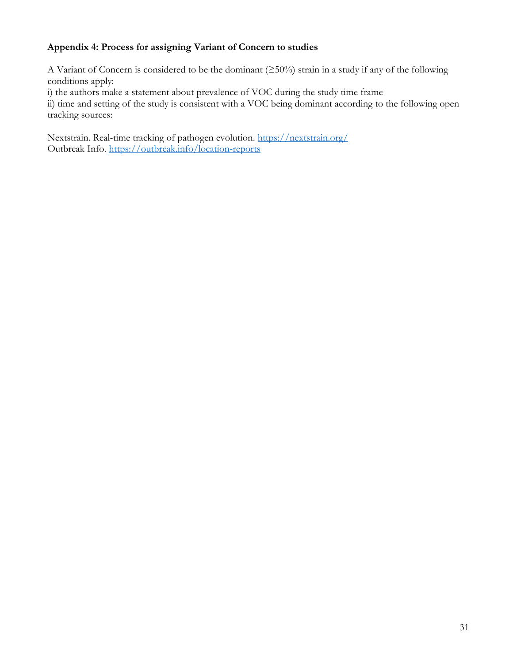# **Appendix 4: Process for assigning Variant of Concern to studies**

A Variant of Concern is considered to be the dominant (≥50%) strain in a study if any of the following conditions apply:

i) the authors make a statement about prevalence of VOC during the study time frame

ii) time and setting of the study is consistent with a VOC being dominant according to the following open tracking sources:

Nextstrain. Real-time tracking of pathogen evolution.<https://nextstrain.org/> Outbreak Info. [https://outbreak.info/locat](https://outbreak.info/location-reports)ion-reports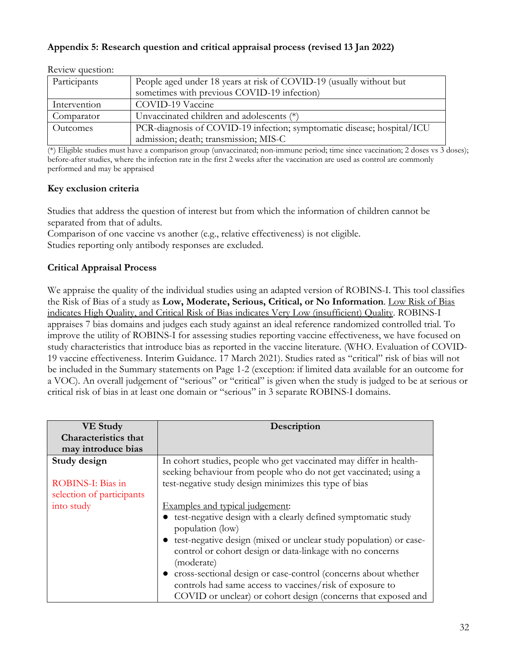## <span id="page-31-0"></span>**Appendix 5: Research question and critical appraisal process (revised 13 Jan 2022)**

| nove we automno                                                                     |                                                                        |  |
|-------------------------------------------------------------------------------------|------------------------------------------------------------------------|--|
| Participants<br>People aged under 18 years at risk of COVID-19 (usually without but |                                                                        |  |
|                                                                                     | sometimes with previous COVID-19 infection)                            |  |
| Intervention                                                                        | COVID-19 Vaccine                                                       |  |
| Comparator                                                                          | Unvaccinated children and adolescents (*)                              |  |
| Outcomes                                                                            | PCR-diagnosis of COVID-19 infection; symptomatic disease; hospital/ICU |  |
|                                                                                     | admission; death; transmission; MIS-C                                  |  |

Review question:

(\*) Eligible studies must have a comparison group (unvaccinated; non-immune period; time since vaccination; 2 doses vs 3 doses); before-after studies, where the infection rate in the first 2 weeks after the vaccination are used as control are commonly performed and may be appraised

### **Key exclusion criteria**

Studies that address the question of interest but from which the information of children cannot be separated from that of adults.

Comparison of one vaccine vs another (e.g., relative effectiveness) is not eligible. Studies reporting only antibody responses are excluded.

### **Critical Appraisal Process**

We appraise the quality of the individual studies using an adapted version of ROBINS-I. This tool classifies the Risk of Bias of a study as **Low, Moderate, Serious, Critical, or No Information**. Low Risk of Bias indicates High Quality, and Critical Risk of Bias indicates Very Low (insufficient) Quality. ROBINS-I appraises 7 bias domains and judges each study against an ideal reference randomized controlled trial. To improve the utility of ROBINS-I for assessing studies reporting vaccine effectiveness, we have focused on study characteristics that introduce bias as reported in the vaccine literature. (WHO. Evaluation of COVID-19 vaccine effectiveness. Interim Guidance. 17 March 2021). Studies rated as "critical" risk of bias will not be included in the Summary statements on Page 1-2 (exception: if limited data available for an outcome for a VOC). An overall judgement of "serious" or "critical" is given when the study is judged to be at serious or critical risk of bias in at least one domain or "serious" in 3 separate ROBINS-I domains.

| <b>VE Study</b>             | Description                                                        |
|-----------------------------|--------------------------------------------------------------------|
| <b>Characteristics that</b> |                                                                    |
| may introduce bias          |                                                                    |
| Study design                | In cohort studies, people who get vaccinated may differ in health- |
|                             | seeking behaviour from people who do not get vaccinated; using a   |
| ROBINS-I: Bias in           | test-negative study design minimizes this type of bias             |
| selection of participants   |                                                                    |
| into study                  | Examples and typical judgement:                                    |
|                             | test-negative design with a clearly defined symptomatic study      |
|                             | population (low)                                                   |
|                             | test-negative design (mixed or unclear study population) or case-  |
|                             | control or cohort design or data-linkage with no concerns          |
|                             | (moderate)                                                         |
|                             | • cross-sectional design or case-control (concerns about whether   |
|                             | controls had same access to vaccines/risk of exposure to           |
|                             | COVID or unclear) or cohort design (concerns that exposed and      |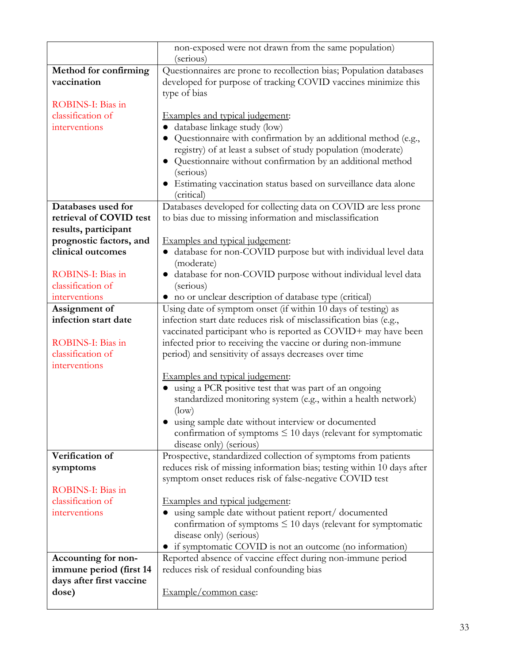|                          | non-exposed were not drawn from the same population)                   |
|--------------------------|------------------------------------------------------------------------|
|                          | (serious)                                                              |
| Method for confirming    | Questionnaires are prone to recollection bias; Population databases    |
| vaccination              | developed for purpose of tracking COVID vaccines minimize this         |
|                          | type of bias                                                           |
| ROBINS-I: Bias in        |                                                                        |
| classification of        | Examples and typical judgement:                                        |
| interventions            | database linkage study (low)                                           |
|                          | Questionnaire with confirmation by an additional method (e.g.,         |
|                          | registry) of at least a subset of study population (moderate)          |
|                          | Questionnaire without confirmation by an additional method             |
|                          | (serious)                                                              |
|                          | · Estimating vaccination status based on surveillance data alone       |
|                          | (critical)                                                             |
| Databases used for       | Databases developed for collecting data on COVID are less prone        |
| retrieval of COVID test  | to bias due to missing information and misclassification               |
| results, participant     |                                                                        |
| prognostic factors, and  | Examples and typical judgement:                                        |
| clinical outcomes        | database for non-COVID purpose but with individual level data          |
|                          | (moderate)                                                             |
| ROBINS-I: Bias in        | · database for non-COVID purpose without individual level data         |
| classification of        | (serious)                                                              |
| interventions            | • no or unclear description of database type (critical)                |
| Assignment of            | Using date of symptom onset (if within 10 days of testing) as          |
| infection start date     | infection start date reduces risk of misclassification bias (e.g.,     |
|                          | vaccinated participant who is reported as COVID+ may have been         |
| ROBINS-I: Bias in        | infected prior to receiving the vaccine or during non-immune           |
| classification of        | period) and sensitivity of assays decreases over time                  |
| interventions            |                                                                        |
|                          | Examples and typical judgement:                                        |
|                          | using a PCR positive test that was part of an ongoing                  |
|                          | standardized monitoring system (e.g., within a health network)         |
|                          | $(\text{low})$                                                         |
|                          | using sample date without interview or documented                      |
|                          | confirmation of symptoms $\leq 10$ days (relevant for symptomatic      |
|                          | disease only) (serious)                                                |
| Verification of          | Prospective, standardized collection of symptoms from patients         |
| symptoms                 | reduces risk of missing information bias; testing within 10 days after |
|                          | symptom onset reduces risk of false-negative COVID test                |
| ROBINS-I: Bias in        |                                                                        |
| classification of        | Examples and typical judgement:                                        |
| interventions            | using sample date without patient report/ documented                   |
|                          | confirmation of symptoms $\leq 10$ days (relevant for symptomatic      |
|                          | disease only) (serious)                                                |
|                          | if symptomatic COVID is not an outcome (no information)                |
| Accounting for non-      | Reported absence of vaccine effect during non-immune period            |
| immune period (first 14  | reduces risk of residual confounding bias                              |
| days after first vaccine |                                                                        |
| dose)                    | Example/common case:                                                   |
|                          |                                                                        |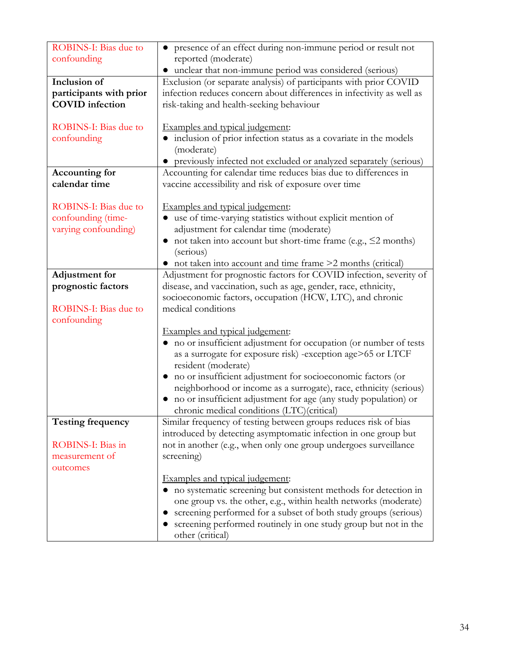| <b>ROBINS-I:</b> Bias due to    | • presence of an effect during non-immune period or result not                                                                                                                                                                                                                                                                     |
|---------------------------------|------------------------------------------------------------------------------------------------------------------------------------------------------------------------------------------------------------------------------------------------------------------------------------------------------------------------------------|
| confounding                     | reported (moderate)                                                                                                                                                                                                                                                                                                                |
|                                 | • unclear that non-immune period was considered (serious)                                                                                                                                                                                                                                                                          |
| Inclusion of                    | Exclusion (or separate analysis) of participants with prior COVID                                                                                                                                                                                                                                                                  |
| participants with prior         | infection reduces concern about differences in infectivity as well as                                                                                                                                                                                                                                                              |
| <b>COVID</b> infection          | risk-taking and health-seeking behaviour                                                                                                                                                                                                                                                                                           |
|                                 |                                                                                                                                                                                                                                                                                                                                    |
| <b>ROBINS-I: Bias due to</b>    | Examples and typical judgement:                                                                                                                                                                                                                                                                                                    |
| confounding                     | • inclusion of prior infection status as a covariate in the models                                                                                                                                                                                                                                                                 |
|                                 | (moderate)                                                                                                                                                                                                                                                                                                                         |
|                                 | • previously infected not excluded or analyzed separately (serious)                                                                                                                                                                                                                                                                |
| Accounting for<br>calendar time | Accounting for calendar time reduces bias due to differences in<br>vaccine accessibility and risk of exposure over time                                                                                                                                                                                                            |
|                                 |                                                                                                                                                                                                                                                                                                                                    |
| <b>ROBINS-I: Bias due to</b>    | Examples and typical judgement:                                                                                                                                                                                                                                                                                                    |
| confounding (time-              | use of time-varying statistics without explicit mention of<br>$\bullet$                                                                                                                                                                                                                                                            |
| varying confounding)            | adjustment for calendar time (moderate)                                                                                                                                                                                                                                                                                            |
|                                 | • not taken into account but short-time frame (e.g., $\leq$ 2 months)                                                                                                                                                                                                                                                              |
|                                 | (serious)                                                                                                                                                                                                                                                                                                                          |
|                                 | • not taken into account and time frame >2 months (critical)                                                                                                                                                                                                                                                                       |
| <b>Adjustment</b> for           | Adjustment for prognostic factors for COVID infection, severity of                                                                                                                                                                                                                                                                 |
| prognostic factors              | disease, and vaccination, such as age, gender, race, ethnicity,                                                                                                                                                                                                                                                                    |
|                                 | socioeconomic factors, occupation (HCW, LTC), and chronic                                                                                                                                                                                                                                                                          |
| <b>ROBINS-I: Bias due to</b>    | medical conditions                                                                                                                                                                                                                                                                                                                 |
| confounding                     |                                                                                                                                                                                                                                                                                                                                    |
|                                 | Examples and typical judgement:                                                                                                                                                                                                                                                                                                    |
|                                 | • no or insufficient adjustment for occupation (or number of tests<br>as a surrogate for exposure risk) -exception age>65 or LTCF                                                                                                                                                                                                  |
|                                 | resident (moderate)                                                                                                                                                                                                                                                                                                                |
|                                 | no or insufficient adjustment for socioeconomic factors (or                                                                                                                                                                                                                                                                        |
|                                 | neighborhood or income as a surrogate), race, ethnicity (serious)                                                                                                                                                                                                                                                                  |
|                                 | • no or insufficient adjustment for age (any study population) or                                                                                                                                                                                                                                                                  |
|                                 | chronic medical conditions (LTC)(critical)                                                                                                                                                                                                                                                                                         |
| <b>Testing frequency</b>        | Similar frequency of testing between groups reduces risk of bias                                                                                                                                                                                                                                                                   |
|                                 | introduced by detecting asymptomatic infection in one group but                                                                                                                                                                                                                                                                    |
| ROBINS-I: Bias in               | not in another (e.g., when only one group undergoes surveillance                                                                                                                                                                                                                                                                   |
| measurement of                  | screening)                                                                                                                                                                                                                                                                                                                         |
| outcomes                        |                                                                                                                                                                                                                                                                                                                                    |
|                                 |                                                                                                                                                                                                                                                                                                                                    |
|                                 |                                                                                                                                                                                                                                                                                                                                    |
|                                 |                                                                                                                                                                                                                                                                                                                                    |
|                                 |                                                                                                                                                                                                                                                                                                                                    |
|                                 |                                                                                                                                                                                                                                                                                                                                    |
|                                 | Examples and typical judgement:<br>• no systematic screening but consistent methods for detection in<br>one group vs. the other, e.g., within health networks (moderate)<br>screening performed for a subset of both study groups (serious)<br>screening performed routinely in one study group but not in the<br>other (critical) |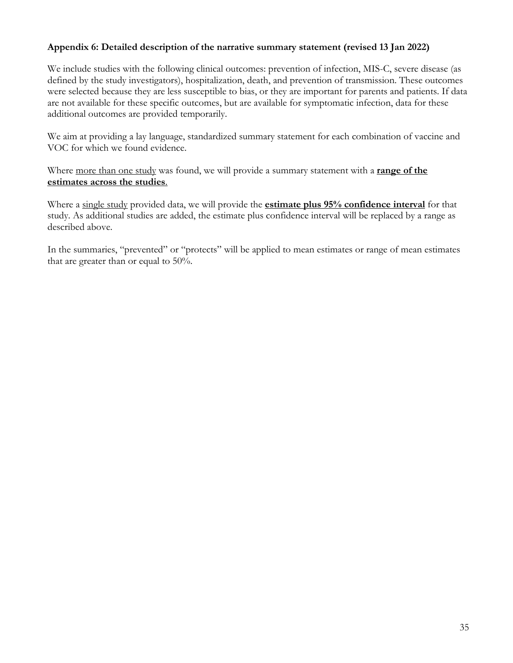### **Appendix 6: Detailed description of the narrative summary statement (revised 13 Jan 2022)**

We include studies with the following clinical outcomes: prevention of infection, MIS-C, severe disease (as defined by the study investigators), hospitalization, death, and prevention of transmission. These outcomes were selected because they are less susceptible to bias, or they are important for parents and patients. If data are not available for these specific outcomes, but are available for symptomatic infection, data for these additional outcomes are provided temporarily.

We aim at providing a lay language, standardized summary statement for each combination of vaccine and VOC for which we found evidence.

Where more than one study was found, we will provide a summary statement with a **range of the estimates across the studies**.

Where a single study provided data, we will provide the **estimate plus 95% confidence interval** for that study. As additional studies are added, the estimate plus confidence interval will be replaced by a range as described above.

In the summaries, "prevented" or "protects" will be applied to mean estimates or range of mean estimates that are greater than or equal to 50%.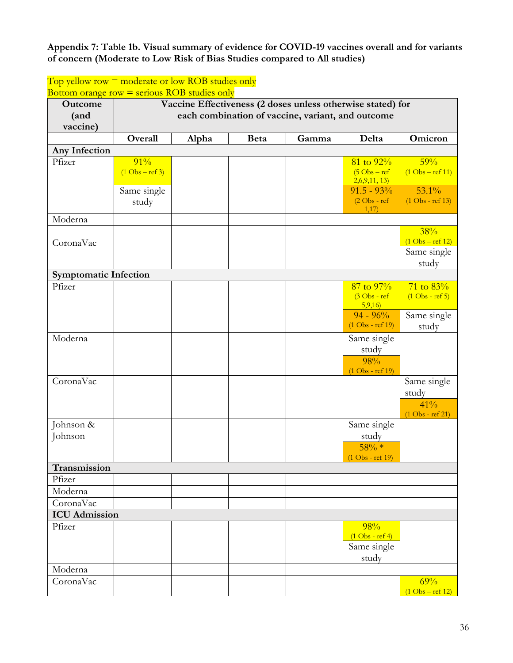### **Appendix 7: Table 1b. Visual summary of evidence for COVID-19 vaccines overall and for variants of concern (Moderate to Low Risk of Bias Studies compared to All studies)**

#### Bottom orange row  $=$  serious ROB studies only **Outcome (and vaccine) Vaccine Effectiveness (2 doses unless otherwise stated) for each combination of vaccine, variant, and outcome Overall Alpha Beta Gamma Delta Omicron Any Infection** Pfizer  $\boxed{91\%}$  $(1 \text{Obs} - \text{ref } 3)$ 81 to 92%  $(5 \text{Obs} - \text{ref})$  $\frac{2,6,9,11,13}{$ 59%  $(1 \text{Obs} - \text{ref } 11)$ Same single study  $91.5 - 93\%$ (2 Obs - ref 1,17) 53.1% (1 Obs - ref 13) Moderna CoronaVac 38%  $(1 \text{Obs} - \text{ref } 12)$ Same single study **Symptomatic Infection** Pfizer  $\Big| \qquad \Big| \qquad \Big| \qquad \Big| \qquad \Big| \qquad \Big| \qquad \Big| \qquad \Big| \qquad \Big| \qquad \Big| \qquad \Big| \qquad \Big| \qquad \Big| \qquad \Big| \qquad \Big| \qquad \Big| \qquad \Big| \qquad \Big| \qquad \Big| \qquad \Big| \qquad \Big| \qquad \Big| \qquad \Big| \qquad \Big| \qquad \Big| \qquad \Big| \qquad \Big| \qquad \Big| \qquad \Big| \qquad \Big| \qquad \Big| \qquad \Big| \qquad \Big| \qquad \Big| \qquad \Big| \qquad \Big|$ (3 Obs - ref  $\frac{5,9,16}{ }$  $71 \text{ to } 83\%$  $(1 \text{Obs} - \text{ref} 5)$  $94 - 96%$ (1 Obs - ref 19) Same single study Moderna | Same single study 98% (1 Obs - ref 19) CoronaVac Same single study  $41\%$ (1 Obs - ref 21) Johnson & Johnson Same single study  $58\% *$ (1 Obs - ref 19) **Transmission**  Pfizer Moderna CoronaVac **ICU Admission**  Pfizer and the set of the set of the set of the set of the set of the set of the set of the set of the set of the set of the set of the set of the set of the set of the set of the set of the set of the set of the set of th (1 Obs - ref 4) Same single study Moderna CoronaVac de la component de la component de la component de la component de la component de la component de l  $(1 \text{Obs} - \text{ref } 12)$